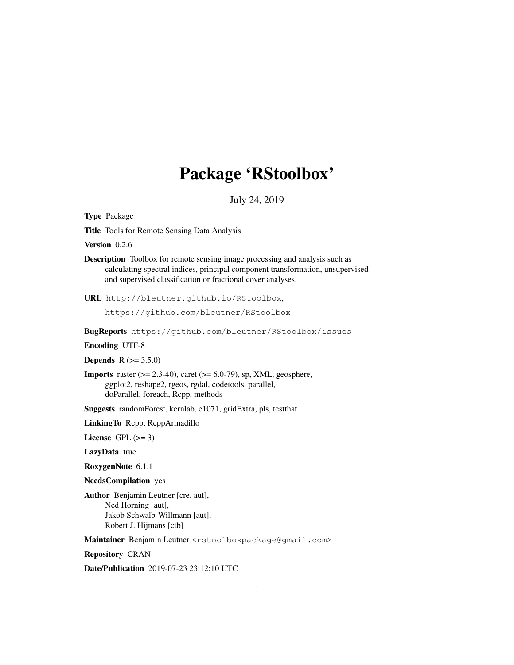# Package 'RStoolbox'

July 24, 2019

Type Package

Title Tools for Remote Sensing Data Analysis

Version 0.2.6

Description Toolbox for remote sensing image processing and analysis such as calculating spectral indices, principal component transformation, unsupervised and supervised classification or fractional cover analyses.

URL http://bleutner.github.io/RStoolbox,

https://github.com/bleutner/RStoolbox

BugReports https://github.com/bleutner/RStoolbox/issues

Encoding UTF-8

**Depends** R  $(>= 3.5.0)$ 

**Imports** raster  $(>= 2.3-40)$ , caret  $(>= 6.0-79)$ , sp, XML, geosphere, ggplot2, reshape2, rgeos, rgdal, codetools, parallel, doParallel, foreach, Rcpp, methods

Suggests randomForest, kernlab, e1071, gridExtra, pls, testthat

LinkingTo Rcpp, RcppArmadillo

License GPL  $(>= 3)$ 

LazyData true

RoxygenNote 6.1.1

NeedsCompilation yes

Author Benjamin Leutner [cre, aut], Ned Horning [aut], Jakob Schwalb-Willmann [aut], Robert J. Hijmans [ctb]

Maintainer Benjamin Leutner <rstoolboxpackage@gmail.com>

Repository CRAN

Date/Publication 2019-07-23 23:12:10 UTC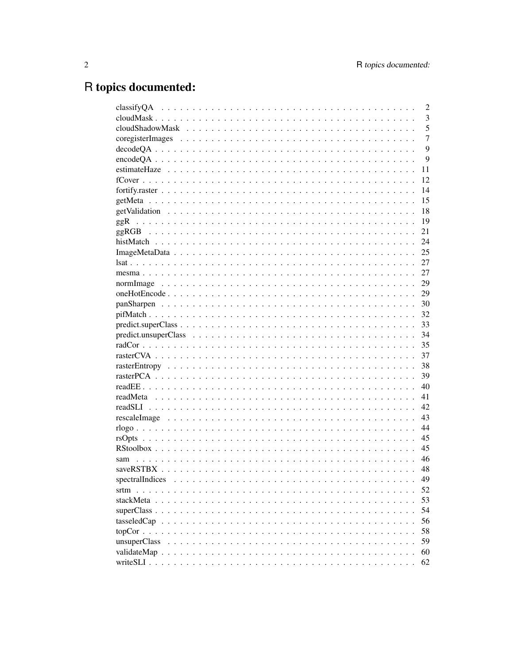# R topics documented:

|                 | $\overline{2}$ |
|-----------------|----------------|
|                 | 3              |
|                 | 5              |
|                 | $\overline{7}$ |
|                 | 9              |
|                 | 9              |
|                 | 11             |
|                 | 12             |
|                 | 14             |
|                 | 15             |
|                 | 18             |
| ggR             | 19             |
|                 | 21             |
|                 | 24             |
|                 | 25             |
|                 | 27             |
|                 | 27             |
|                 | 29             |
|                 | 29             |
|                 | 30             |
|                 | 32             |
|                 | 33             |
|                 | 34             |
|                 | 35             |
|                 | 37             |
|                 | 38             |
|                 | 39             |
|                 | 40             |
|                 | 41             |
|                 | 42             |
|                 | 43             |
|                 | 44             |
|                 | 45             |
|                 | 45             |
| sam             | 46             |
|                 | 48             |
| spectralIndices | 49             |
|                 | 52             |
|                 | 53             |
|                 | 54             |
|                 | 56             |
|                 | 58             |
|                 | 59             |
|                 | 60             |
|                 | 62             |
|                 |                |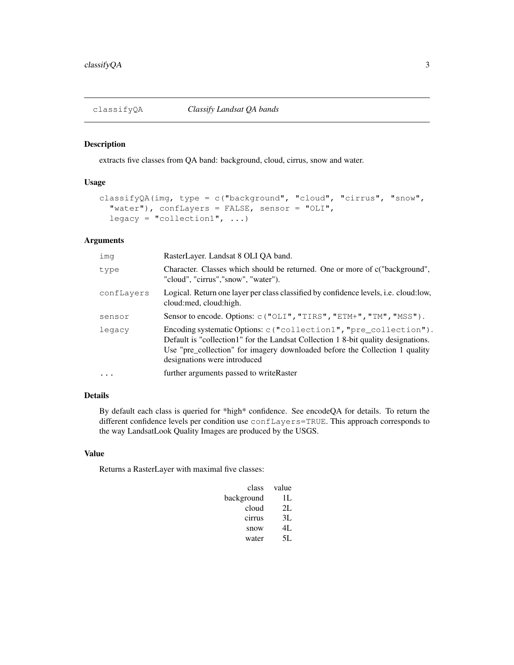extracts five classes from QA band: background, cloud, cirrus, snow and water.

## Usage

```
classifyQA(img, type = c("background", "cloud", "cirrus", "snow",
  "water"), confLayers = FALSE, sensor = "OLI",
 legacy = "collection1", \ldots)
```
# Arguments

| imq        | RasterLayer. Landsat 8 OLI QA band.                                                                                                                                                                                                                                   |
|------------|-----------------------------------------------------------------------------------------------------------------------------------------------------------------------------------------------------------------------------------------------------------------------|
| type       | Character. Classes which should be returned. One or more of c("background",<br>"cloud", "cirrus", "snow", "water").                                                                                                                                                   |
| confLayers | Logical. Return one layer per class classified by confidence levels, <i>i.e.</i> cloud: low,<br>cloud: med, cloud: high.                                                                                                                                              |
| sensor     | Sensor to encode. Options: c("OLI", "TIRS", "ETM+", "TM", "MSS").                                                                                                                                                                                                     |
| legacy     | Encoding systematic Options: c ("collection1", "pre_collection").<br>Default is "collection1" for the Landsat Collection 1 8-bit quality designations.<br>Use "pre_collection" for imagery downloaded before the Collection 1 quality<br>designations were introduced |
|            | further arguments passed to writeRaster                                                                                                                                                                                                                               |

# Details

By default each class is queried for \*high\* confidence. See encodeQA for details. To return the different confidence levels per condition use confLayers=TRUE. This approach corresponds to the way LandsatLook Quality Images are produced by the USGS.

# Value

Returns a RasterLayer with maximal five classes:

| class      | value |
|------------|-------|
| background | Н.    |
| cloud      | 2L    |
| cirrus     | 3L    |
| snow       | 4L    |
| water      | 5I.   |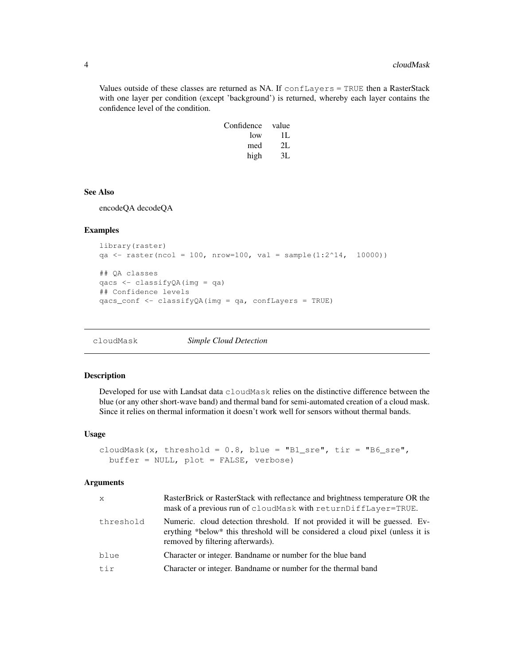Values outside of these classes are returned as NA. If confLayers = TRUE then a RasterStack with one layer per condition (except 'background') is returned, whereby each layer contains the confidence level of the condition.

| Confidence | value |
|------------|-------|
| low        | Н.    |
| med        | 2L    |
| high       | 3Ι.   |

## See Also

encodeQA decodeQA

## Examples

```
library(raster)
qa <- raster(ncol = 100, nrow=100, val = sample(1:2^14, 10000))
## QA classes
qacs <- classifyQA(img = qa)
## Confidence levels
qacs_conf <- classifyQA(img = qa, confLayers = TRUE)
```
cloudMask *Simple Cloud Detection*

#### Description

Developed for use with Landsat data cloudMask relies on the distinctive difference between the blue (or any other short-wave band) and thermal band for semi-automated creation of a cloud mask. Since it relies on thermal information it doesn't work well for sensors without thermal bands.

#### Usage

```
cloudMask(x, threshold = 0.8, blue = "B1_sre", tir = "B6_sre",
  buffer = NULL, plot = FALSE, verbose)
```

| $\mathsf{x}$ | RasterBrick or RasterStack with reflectance and brightness temperature OR the<br>mask of a previous run of cloudMask with returnDiffLayer=TRUE.                                                    |
|--------------|----------------------------------------------------------------------------------------------------------------------------------------------------------------------------------------------------|
| threshold    | Numeric. cloud detection threshold. If not provided it will be guessed. Ev-<br>erything *below* this threshold will be considered a cloud pixel (unless it is<br>removed by filtering afterwards). |
| blue         | Character or integer. Bandname or number for the blue band                                                                                                                                         |
| tir          | Character or integer. Bandname or number for the thermal band                                                                                                                                      |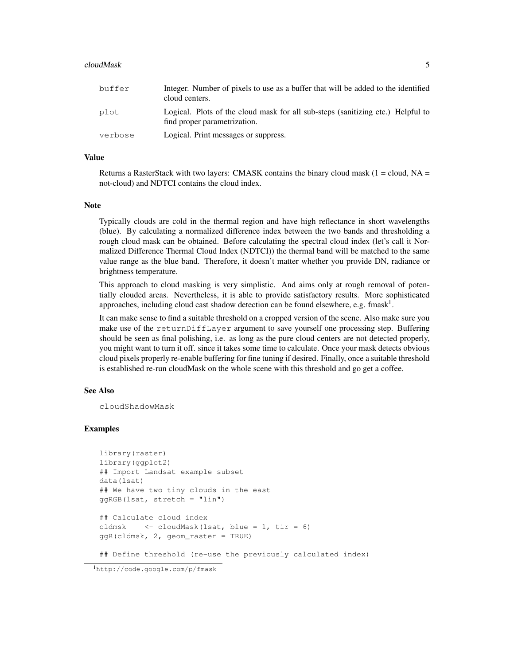#### cloudMask 5

| buffer  | Integer. Number of pixels to use as a buffer that will be added to the identified<br>cloud centers.             |
|---------|-----------------------------------------------------------------------------------------------------------------|
| plot    | Logical. Plots of the cloud mask for all sub-steps (sanitizing etc.) Helpful to<br>find proper parametrization. |
| verbose | Logical. Print messages or suppress.                                                                            |

## Value

Returns a RasterStack with two layers: CMASK contains the binary cloud mask ( $1 =$  cloud, NA = not-cloud) and NDTCI contains the cloud index.

#### Note

Typically clouds are cold in the thermal region and have high reflectance in short wavelengths (blue). By calculating a normalized difference index between the two bands and thresholding a rough cloud mask can be obtained. Before calculating the spectral cloud index (let's call it Normalized Difference Thermal Cloud Index (NDTCI)) the thermal band will be matched to the same value range as the blue band. Therefore, it doesn't matter whether you provide DN, radiance or brightness temperature.

This approach to cloud masking is very simplistic. And aims only at rough removal of potentially clouded areas. Nevertheless, it is able to provide satisfactory results. More sophisticated approaches, including cloud cast shadow detection can be found elsewhere, e.g. fmask<sup>1</sup>.

It can make sense to find a suitable threshold on a cropped version of the scene. Also make sure you make use of the returnDiffLayer argument to save yourself one processing step. Buffering should be seen as final polishing, i.e. as long as the pure cloud centers are not detected properly, you might want to turn it off. since it takes some time to calculate. Once your mask detects obvious cloud pixels properly re-enable buffering for fine tuning if desired. Finally, once a suitable threshold is established re-run cloudMask on the whole scene with this threshold and go get a coffee.

## See Also

cloudShadowMask

## Examples

```
library(raster)
library(ggplot2)
## Import Landsat example subset
data(lsat)
## We have two tiny clouds in the east
ggRGB(lsat, stretch = "lin")
## Calculate cloud index
cldmsk \langle - \text{cloudMask}(\text{lsat}, \text{blue} = 1, \text{tir} = 6) \rangleggR(cldmsk, 2, geom_raster = TRUE)
```
## Define threshold (re-use the previously calculated index)

<sup>1</sup>http://code.google.com/p/fmask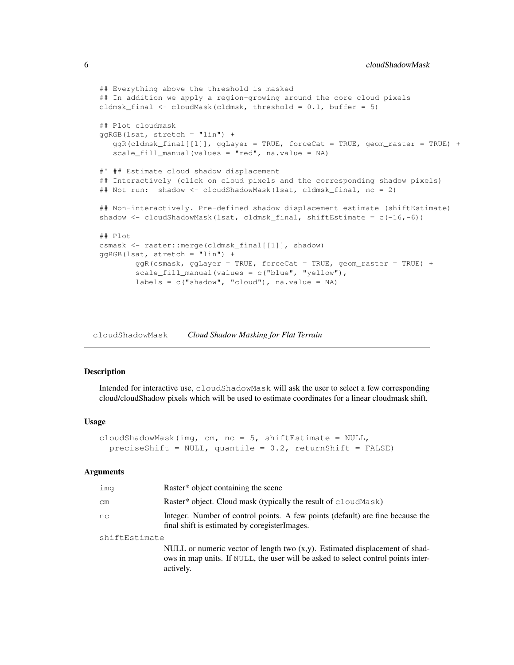```
## Everything above the threshold is masked
## In addition we apply a region-growing around the core cloud pixels
cldmsk_final <- cloudMask(cldmsk, threshold = 0.1, buffer = 5)
## Plot cloudmask
qqRGB(lsat, stretch = "lin") +ggR(cldmsk_final[[1]], ggLayer = TRUE, forceCat = TRUE, geom_raster = TRUE) +
  scale_fill_manual(values = "red", na.value = NA)
#' ## Estimate cloud shadow displacement
## Interactively (click on cloud pixels and the corresponding shadow pixels)
## Not run: shadow <- cloudShadowMask(lsat, cldmsk_final, nc = 2)
## Non-interactively. Pre-defined shadow displacement estimate (shiftEstimate)
shadow \leq cloudShadowMask(lsat, cldmsk_final, shiftEstimate = c(-16,-6))
## Plot
csmask <- raster::merge(cldmsk_final[[1]], shadow)
ggRGB(lsat, stretch = "lin") +
       ggR(csmask, ggLayer = TRUE, forceCat = TRUE, geom_raster = TRUE) +
        scale_fill_manual(values = c("blue", "yellow"),
        labels = c("shadow", "cloud"); na.value = NA)
```
cloudShadowMask *Cloud Shadow Masking for Flat Terrain*

# Description

Intended for interactive use, cloudShadowMask will ask the user to select a few corresponding cloud/cloudShadow pixels which will be used to estimate coordinates for a linear cloudmask shift.

#### Usage

```
cloudShadowMask(img, cm, nc = 5, shiftEstimate = NULL,
  preciseShift = NULL, quantile = 0.2, returnShift = FALSE)
```

| ima           | Raster <sup>*</sup> object containing the scene                                                                                                                                  |  |
|---------------|----------------------------------------------------------------------------------------------------------------------------------------------------------------------------------|--|
| cm            | Raster* object. Cloud mask (typically the result of cloud Mask)                                                                                                                  |  |
| nc            | Integer. Number of control points. A few points (default) are fine because the<br>final shift is estimated by coregister Images.                                                 |  |
| shiftEstimate |                                                                                                                                                                                  |  |
|               | NULL or numeric vector of length two $(x,y)$ . Estimated displacement of shad-<br>ows in map units. If NULL, the user will be asked to select control points inter-<br>actively. |  |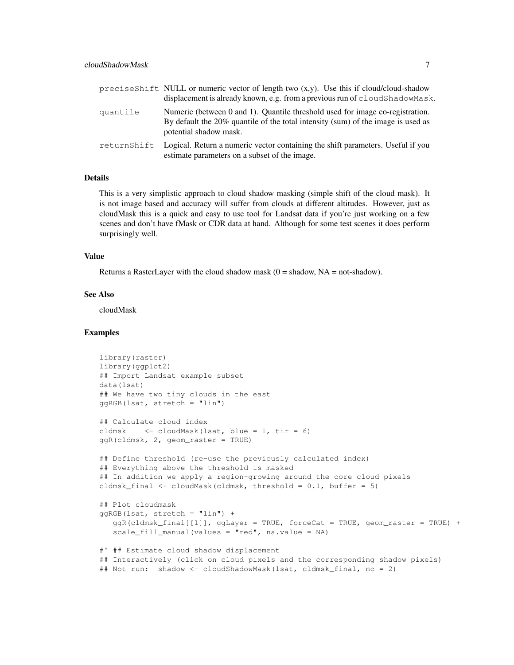|             | precises hift NULL or numeric vector of length two $(x,y)$ . Use this if cloud/cloud-shadow<br>displacement is already known, e.g. from a previous run of cloudShadowMask.                  |
|-------------|---------------------------------------------------------------------------------------------------------------------------------------------------------------------------------------------|
| quantile    | Numeric (between 0 and 1). Quantile threshold used for image co-registration.<br>By default the 20% quantile of the total intensity (sum) of the image is used as<br>potential shadow mask. |
| returnShift | Logical. Return a numeric vector containing the shift parameters. Useful if you<br>estimate parameters on a subset of the image.                                                            |

#### Details

This is a very simplistic approach to cloud shadow masking (simple shift of the cloud mask). It is not image based and accuracy will suffer from clouds at different altitudes. However, just as cloudMask this is a quick and easy to use tool for Landsat data if you're just working on a few scenes and don't have fMask or CDR data at hand. Although for some test scenes it does perform surprisingly well.

## Value

Returns a RasterLayer with the cloud shadow mask  $(0 =$  shadow, NA = not-shadow).

#### See Also

cloudMask

```
library(raster)
library(ggplot2)
## Import Landsat example subset
data(lsat)
## We have two tiny clouds in the east
ggRGB(lsat, stretch = "lin")
## Calculate cloud index
cldmsk <- cloudMask(lsat, blue = 1, tir = 6)
ggR(cldmsk, 2, geom_raster = TRUE)
## Define threshold (re-use the previously calculated index)
## Everything above the threshold is masked
## In addition we apply a region-growing around the core cloud pixels
cldmsk_final <- cloudMask(cldmsk, threshold = 0.1, buffer = 5)
## Plot cloudmask
ggRGB(lsat, stretch = "lin") +
  ggR(cldmsk_final[[1]], ggLayer = TRUE, forceCat = TRUE, geom_raster = TRUE) +
  scale_fill_manual(values = "red", na.value = NA)
#' ## Estimate cloud shadow displacement
## Interactively (click on cloud pixels and the corresponding shadow pixels)
## Not run: shadow <- cloudShadowMask(lsat, cldmsk_final, nc = 2)
```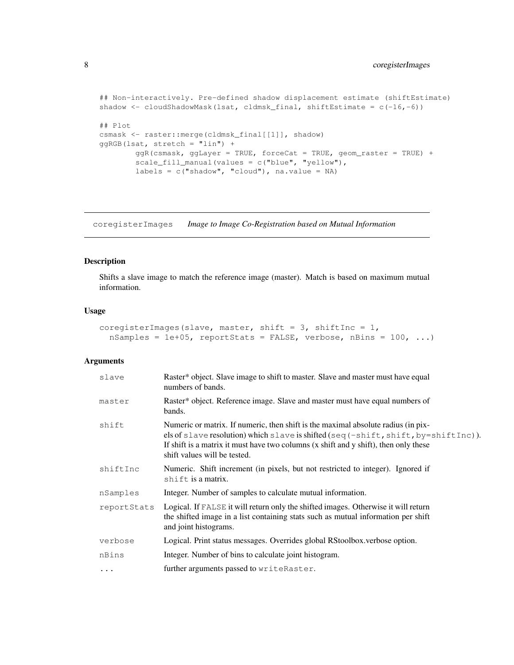```
## Non-interactively. Pre-defined shadow displacement estimate (shiftEstimate)
shadow <- cloudShadowMask(lsat, cldmsk_final, shiftEstimate = c(-16,-6))
## Plot
csmask <- raster::merge(cldmsk_final[[1]], shadow)
ggRGB(lsat, stretch = "lin") +
        ggR(csmask, ggLayer = TRUE, forceCat = TRUE, geom_raster = TRUE) +
        scale_fill_manual(values = c("blue", "yellow"),
        labels = c("shadow", "cloud"), na.value = NA)
```
coregisterImages *Image to Image Co-Registration based on Mutual Information*

## Description

Shifts a slave image to match the reference image (master). Match is based on maximum mutual information.

## Usage

```
coregisterImages(slave, master, shift = 3, shiftInc = 1,
  nSamples = 1e+05, reportStats = FALSE, verbose, nBins = 100, ...)
```

| slave       | Raster* object. Slave image to shift to master. Slave and master must have equal<br>numbers of bands.                                                                                                                                                                                                                           |
|-------------|---------------------------------------------------------------------------------------------------------------------------------------------------------------------------------------------------------------------------------------------------------------------------------------------------------------------------------|
| master      | Raster* object. Reference image. Slave and master must have equal numbers of<br>bands.                                                                                                                                                                                                                                          |
| shift       | Numeric or matrix. If numeric, then shift is the maximal absolute radius (in pix-<br>els of slave resolution) which slave is shifted (seq $(-\text{shift}, \text{shift}, \text{by}=\text{shiftInc})$ ).<br>If shift is a matrix it must have two columns (x shift and y shift), then only these<br>shift values will be tested. |
| shiftInc    | Numeric. Shift increment (in pixels, but not restricted to integer). Ignored if<br>shift is a matrix.                                                                                                                                                                                                                           |
| nSamples    | Integer. Number of samples to calculate mutual information.                                                                                                                                                                                                                                                                     |
| reportStats | Logical. If FALSE it will return only the shifted images. Otherwise it will return<br>the shifted image in a list containing stats such as mutual information per shift<br>and joint histograms.                                                                                                                                |
| verbose     | Logical. Print status messages. Overrides global RStoolbox.verbose option.                                                                                                                                                                                                                                                      |
| nBins       | Integer. Number of bins to calculate joint histogram.                                                                                                                                                                                                                                                                           |
| $\cdots$    | further arguments passed to writeRaster.                                                                                                                                                                                                                                                                                        |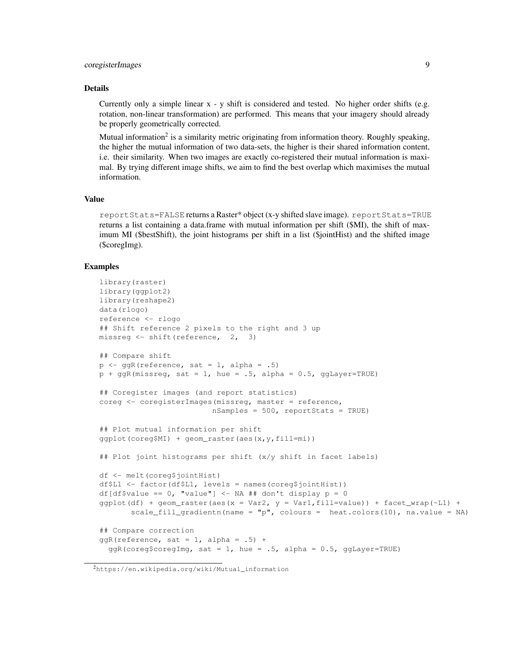# coregisterImages 9

#### Details

Currently only a simple linear  $x - y$  shift is considered and tested. No higher order shifts (e.g. rotation, non-linear transformation) are performed. This means that your imagery should already be properly geometrically corrected.

Mutual information<sup>2</sup> is a similarity metric originating from information theory. Roughly speaking, the higher the mutual information of two data-sets, the higher is their shared information content, i.e. their similarity. When two images are exactly co-registered their mutual information is maximal. By trying different image shifts, we aim to find the best overlap which maximises the mutual information.

#### Value

reportStats=FALSE returns a Raster\* object (x-y shifted slave image). reportStats=TRUE returns a list containing a data.frame with mutual information per shift (\$MI), the shift of maximum MI (\$bestShift), the joint histograms per shift in a list (\$jointHist) and the shifted image (\$coregImg).

```
library(raster)
library(ggplot2)
library(reshape2)
data(rlogo)
reference <- rlogo
## Shift reference 2 pixels to the right and 3 up
missreg <- shift(reference, 2, 3)
## Compare shift
p \leftarrow ggR(reference, sat = 1, alpha = .5)
p + ggR(missreg, sat = 1, hue = .5, alpha = 0.5, ggLayer=TRUE)## Coregister images (and report statistics)
coreg <- coregisterImages(missreg, master = reference,
                         nSamples = 500, reportStats = TRUE)
## Plot mutual information per shift
ggplot(coreg$MI) + geom_raster(aes(x,y,fill=mi))
## Plot joint histograms per shift (x/y shift in facet labels)
df <- melt(coreg$jointHist)
df$L1 <- factor(df$L1, levels = names(coreg$jointHist))
df[df$value == 0, "value"] <- NA ## don't display p = 0ggplot(df) + geom\_raster(aes(x = Var2, y = Var1, fill = value)) + facet\_wrap(-L1) +scale_fill_gradientn(name = "p", colours = heat.colors(10), na.value = NA)
## Compare correction
ggR(reference, sat = 1, alpha = .5) +qqR(coreg$coregImg, sat = 1, hue = .5, alpha = 0.5, qqLayer=TRUE)
```
<sup>2</sup>https://en.wikipedia.org/wiki/Mutual\_information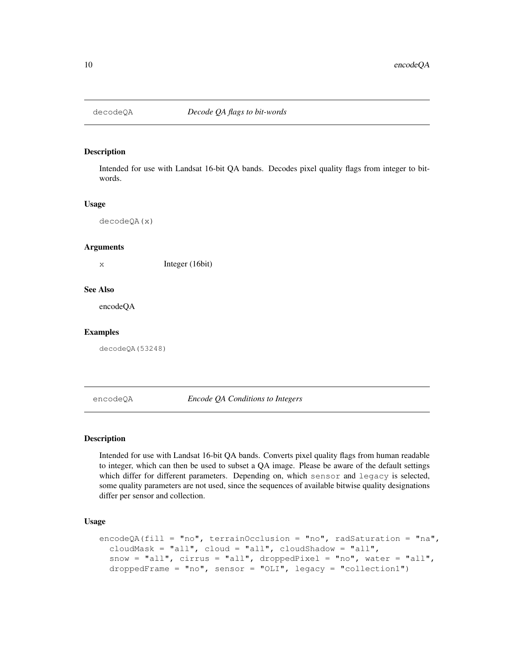Intended for use with Landsat 16-bit QA bands. Decodes pixel quality flags from integer to bitwords.

#### Usage

decodeQA(x)

#### **Arguments**

x Integer (16bit)

#### See Also

encodeQA

### Examples

decodeQA(53248)

#### encodeQA *Encode QA Conditions to Integers*

# **Description**

Intended for use with Landsat 16-bit QA bands. Converts pixel quality flags from human readable to integer, which can then be used to subset a QA image. Please be aware of the default settings which differ for different parameters. Depending on, which sensor and legacy is selected, some quality parameters are not used, since the sequences of available bitwise quality designations differ per sensor and collection.

## Usage

```
encodeQA(fill = "no", terrainOcclusion = "no", radSaturation = "na",
  cloudMask = "all", cloud = "all", cloudShadow = "all",
  snow = "all", cirrus = "all", droppedPixel = "no", water = "all",
  droppedFrame = "no", sensor = "OLI", legacy = "collection1")
```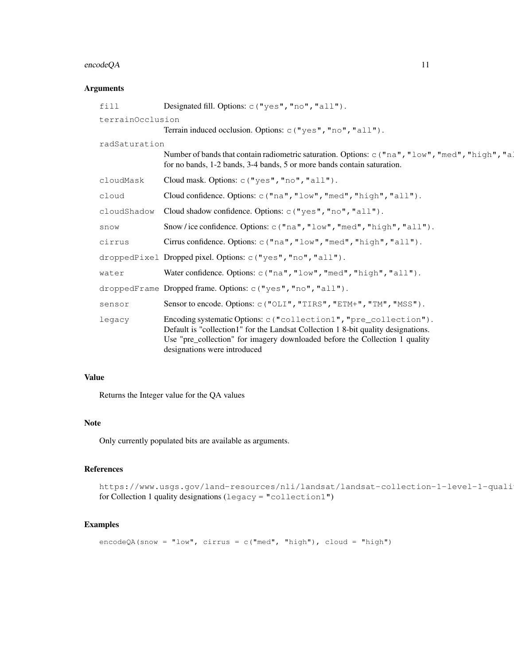# encodeQA 11

# Arguments

| Designated fill. Options: c ("yes", "no", "all").                                                                                                                                                                                                                     |
|-----------------------------------------------------------------------------------------------------------------------------------------------------------------------------------------------------------------------------------------------------------------------|
| terrainOcclusion                                                                                                                                                                                                                                                      |
| Terrain induced occlusion. Options: c ("yes", "no", "all").                                                                                                                                                                                                           |
| radSaturation                                                                                                                                                                                                                                                         |
| Number of bands that contain radiometric saturation. Options: c ("na", "low", "med", "high", "a!<br>for no bands, 1-2 bands, 3-4 bands, 5 or more bands contain saturation.                                                                                           |
| Cloud mask. Options: c ("yes", "no", "all").                                                                                                                                                                                                                          |
| Cloud confidence. Options: c("na", "low", "med", "high", "all").                                                                                                                                                                                                      |
| Cloud shadow confidence. Options: c("yes", "no", "all").                                                                                                                                                                                                              |
| Snow/ice confidence. Options: $c("na", "low", "med", "high", "all");$ .                                                                                                                                                                                               |
| Cirrus confidence. Options: c("na", "low", "med", "high", "all").                                                                                                                                                                                                     |
| droppedPixel Dropped pixel. Options: c("yes", "no", "all").                                                                                                                                                                                                           |
| Water confidence. Options: $c("na", "low", "med", "high", "all");$ .                                                                                                                                                                                                  |
| droppedFrame Dropped frame. Options: $c("yes", "no", "all");$ .                                                                                                                                                                                                       |
| Sensor to encode. Options: c("OLI", "TIRS", "ETM+", "TM", "MSS").                                                                                                                                                                                                     |
| Encoding systematic Options: c ("collection1", "pre_collection").<br>Default is "collection1" for the Landsat Collection 1 8-bit quality designations.<br>Use "pre_collection" for imagery downloaded before the Collection 1 quality<br>designations were introduced |
|                                                                                                                                                                                                                                                                       |

# Value

Returns the Integer value for the QA values

## Note

Only currently populated bits are available as arguments.

# References

https://www.usgs.gov/land-resources/nli/landsat/landsat-collection-1-level-1-quali for Collection 1 quality designations (legacy = "collection1")

```
encodeQA(snow = "low", cirrus = c("med", "high"), cloud = "high")
```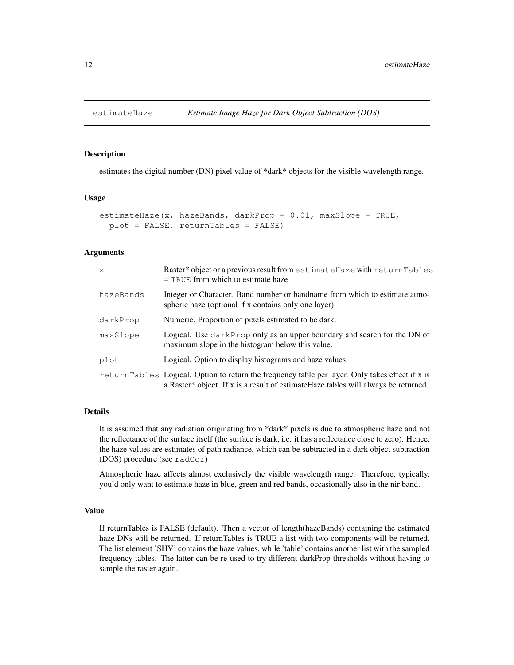estimates the digital number (DN) pixel value of \*dark\* objects for the visible wavelength range.

## Usage

```
estimateHaze(x, hazeBands, darkProp = 0.01, maxSlope = TRUE,
  plot = FALSE, returnTables = FALSE)
```
## Arguments

| X         | Raster* object or a previous result from estimateHaze with returnTables<br>$=$ TRUE from which to estimate haze                                                                         |
|-----------|-----------------------------------------------------------------------------------------------------------------------------------------------------------------------------------------|
| hazeBands | Integer or Character. Band number or bandname from which to estimate atmo-<br>spheric haze (optional if x contains only one layer)                                                      |
| darkProp  | Numeric. Proportion of pixels estimated to be dark.                                                                                                                                     |
| maxSlope  | Logical. Use darkProp only as an upper boundary and search for the DN of<br>maximum slope in the histogram below this value.                                                            |
| plot      | Logical. Option to display histograms and haze values                                                                                                                                   |
|           | return Tables Logical. Option to return the frequency table per layer. Only takes effect if x is<br>a Raster* object. If x is a result of estimate Haze tables will always be returned. |

## Details

It is assumed that any radiation originating from \*dark\* pixels is due to atmospheric haze and not the reflectance of the surface itself (the surface is dark, i.e. it has a reflectance close to zero). Hence, the haze values are estimates of path radiance, which can be subtracted in a dark object subtraction (DOS) procedure (see radCor)

Atmospheric haze affects almost exclusively the visible wavelength range. Therefore, typically, you'd only want to estimate haze in blue, green and red bands, occasionally also in the nir band.

#### Value

If returnTables is FALSE (default). Then a vector of length(hazeBands) containing the estimated haze DNs will be returned. If returnTables is TRUE a list with two components will be returned. The list element 'SHV' contains the haze values, while 'table' contains another list with the sampled frequency tables. The latter can be re-used to try different darkProp thresholds without having to sample the raster again.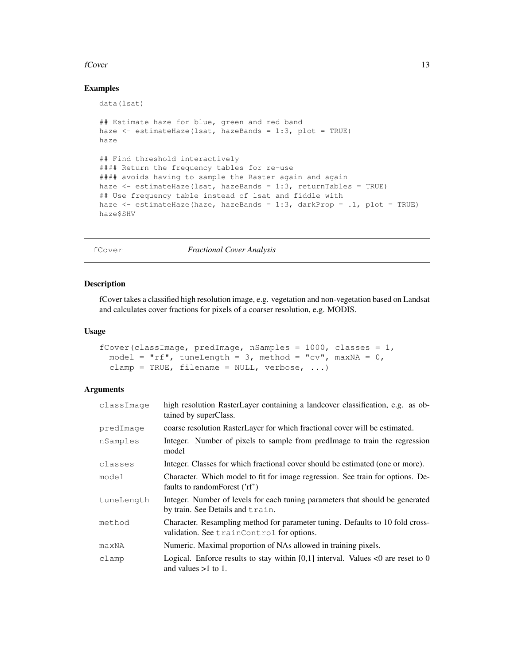#### $fCover$  13

# Examples

```
data(lsat)
## Estimate haze for blue, green and red band
haze \leq estimateHaze(lsat, hazeBands = 1:3, plot = TRUE)
haze
## Find threshold interactively
#### Return the frequency tables for re-use
#### avoids having to sample the Raster again and again
haze <- estimateHaze(lsat, hazeBands = 1:3, returnTables = TRUE)
## Use frequency table instead of lsat and fiddle with
haze <- estimateHaze(haze, hazeBands = 1:3, darkProp = .1, plot = TRUE)
haze$SHV
```
fCover *Fractional Cover Analysis*

#### Description

fCover takes a classified high resolution image, e.g. vegetation and non-vegetation based on Landsat and calculates cover fractions for pixels of a coarser resolution, e.g. MODIS.

#### Usage

```
fCover (classImage, predImage, nSamples = 1000, classes = 1,
 model = "rf", tuneLength = 3, method = "cv", maxNA = 0,
 clamp = TRUE, filename = NULL, verbose, ...)
```

| classImage | high resolution RasterLayer containing a landcover classification, e.g. as ob-<br>tained by superClass.                    |
|------------|----------------------------------------------------------------------------------------------------------------------------|
| predImage  | coarse resolution RasterLayer for which fractional cover will be estimated.                                                |
| nSamples   | Integer. Number of pixels to sample from predImage to train the regression<br>model                                        |
| classes    | Integer. Classes for which fractional cover should be estimated (one or more).                                             |
| model      | Character. Which model to fit for image regression. See train for options. De-<br>faults to randomForest ('rf')            |
| tuneLength | Integer. Number of levels for each tuning parameters that should be generated<br>by train. See Details and train.          |
| method     | Character. Resampling method for parameter tuning. Defaults to 10 fold cross-<br>validation. See trainControl for options. |
| maxNA      | Numeric. Maximal proportion of NAs allowed in training pixels.                                                             |
| clamp      | Logical. Enforce results to stay within [0,1] interval. Values <0 are reset to 0<br>and values $>1$ to 1.                  |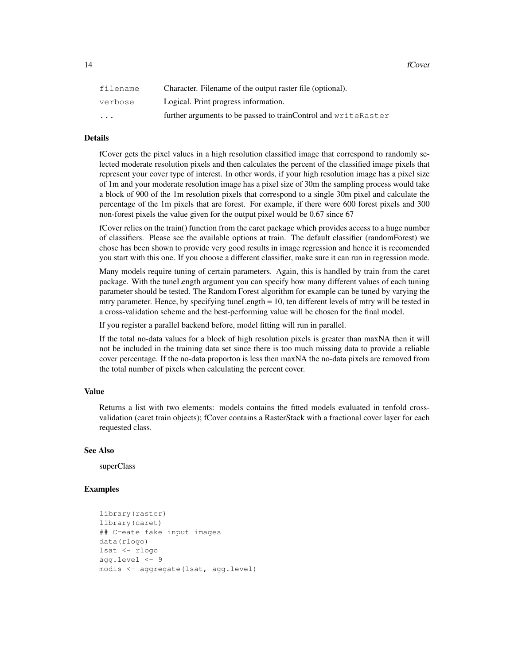| filename                | Character. Filename of the output raster file (optional).      |
|-------------------------|----------------------------------------------------------------|
| verbose                 | Logical. Print progress information.                           |
| $\cdot$ $\cdot$ $\cdot$ | further arguments to be passed to trainControl and writeRaster |

# Details

fCover gets the pixel values in a high resolution classified image that correspond to randomly selected moderate resolution pixels and then calculates the percent of the classified image pixels that represent your cover type of interest. In other words, if your high resolution image has a pixel size of 1m and your moderate resolution image has a pixel size of 30m the sampling process would take a block of 900 of the 1m resolution pixels that correspond to a single 30m pixel and calculate the percentage of the 1m pixels that are forest. For example, if there were 600 forest pixels and 300 non-forest pixels the value given for the output pixel would be 0.67 since 67

fCover relies on the train() function from the caret package which provides access to a huge number of classifiers. Please see the available options at train. The default classifier (randomForest) we chose has been shown to provide very good results in image regression and hence it is recomended you start with this one. If you choose a different classifier, make sure it can run in regression mode.

Many models require tuning of certain parameters. Again, this is handled by train from the caret package. With the tuneLength argument you can specify how many different values of each tuning parameter should be tested. The Random Forest algorithm for example can be tuned by varying the mtry parameter. Hence, by specifying tuneLength = 10, ten different levels of mtry will be tested in a cross-validation scheme and the best-performing value will be chosen for the final model.

If you register a parallel backend before, model fitting will run in parallel.

If the total no-data values for a block of high resolution pixels is greater than maxNA then it will not be included in the training data set since there is too much missing data to provide a reliable cover percentage. If the no-data proporton is less then maxNA the no-data pixels are removed from the total number of pixels when calculating the percent cover.

#### Value

Returns a list with two elements: models contains the fitted models evaluated in tenfold crossvalidation (caret train objects); fCover contains a RasterStack with a fractional cover layer for each requested class.

## See Also

superClass

```
library(raster)
library(caret)
## Create fake input images
data(rlogo)
lsat <- rlogo
agg.level <- 9
modis <- aggregate(lsat, agg.level)
```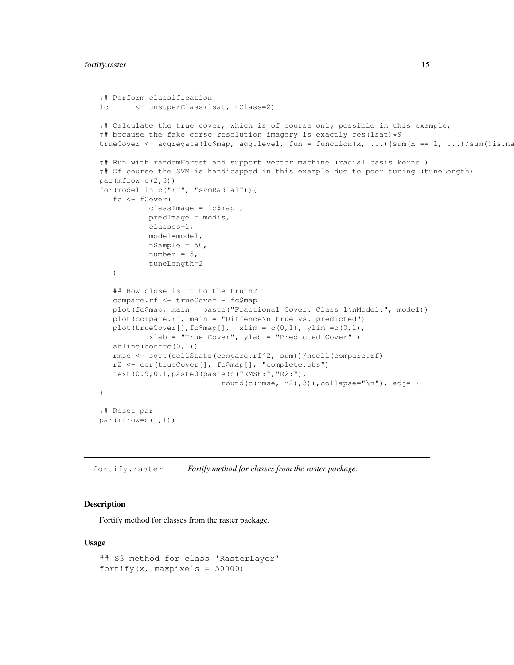```
## Perform classification
lc <- unsuperClass(lsat, nClass=2)
## Calculate the true cover, which is of course only possible in this example,
## because the fake corse resolution imagery is exactly res(lsat) *9trueCover <- aggregate(lc$map, agg.level, fun = function(x, ...){sum(x == 1, ...)/sum(!is.na
## Run with randomForest and support vector machine (radial basis kernel)
## Of course the SVM is handicapped in this example due to poor tuning (tuneLength)
par(mfrow=c(2,3))for(model in c("rf", "svmRadial")){
   fc <- fCover(
           classImage = lc$map,
           predImage = modis,
           classes=1,
           model=model,
           nSample = 50,
           number = 5,
           tuneLength=2
   )
   ## How close is it to the truth?
   compare.rf <- trueCover - fc$map
  plot(fc$map, main = paste("Fractional Cover: Class 1\nModel:", model))
  plot(compare.rf, main = "Diffence\n true vs. predicted")
  plot(trueCover[],fc$map[], xlim = c(0,1), ylim =c(0,1),
           xlab = "True Cover", ylab = "Predicted Cover" )
  abline(coef=c(0,1))
  rmse <- sqrt(cellStats(compare.rf^2, sum))/ncell(compare.rf)
  r2 <- cor(trueCover[], fc$map[], "complete.obs")
  text(0.9,0.1,paste0(paste(c("RMSE:","R2:"),
                           round(c(rmse, r2),3)),collapse="\n"), adj=1)
}
## Reset par
par(mfrow=c(1,1))
```

```
fortify.raster Fortify method for classes from the raster package.
```
Fortify method for classes from the raster package.

#### Usage

```
## S3 method for class 'RasterLayer'
fortify(x, maxpixels = 50000)
```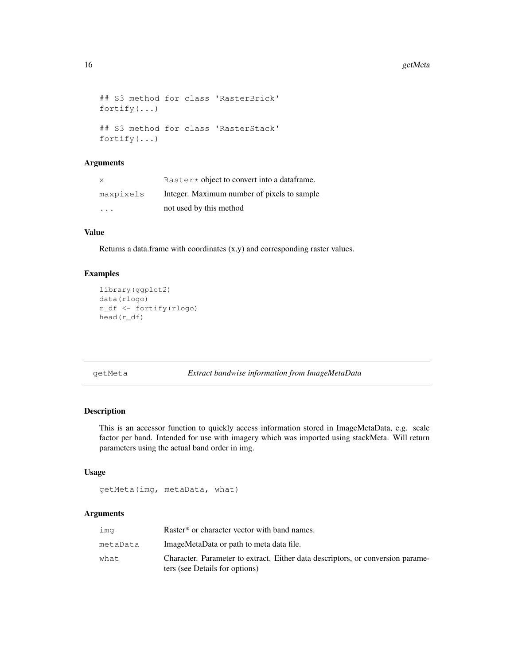```
## S3 method for class 'RasterBrick'
fortify(...)
## S3 method for class 'RasterStack'
fortify(...)
```
# Arguments

| X                       | Raster $\star$ object to convert into a data frame. |
|-------------------------|-----------------------------------------------------|
| maxpixels               | Integer. Maximum number of pixels to sample         |
| $\cdot$ $\cdot$ $\cdot$ | not used by this method                             |

#### Value

Returns a data.frame with coordinates (x,y) and corresponding raster values.

## Examples

```
library(ggplot2)
data(rlogo)
r_df <- fortify(rlogo)
head(r_df)
```
getMeta *Extract bandwise information from ImageMetaData*

# Description

This is an accessor function to quickly access information stored in ImageMetaData, e.g. scale factor per band. Intended for use with imagery which was imported using stackMeta. Will return parameters using the actual band order in img.

## Usage

```
getMeta(img, metaData, what)
```

| ima      | Raster <sup>*</sup> or character vector with band names.                                                          |
|----------|-------------------------------------------------------------------------------------------------------------------|
| metaData | ImageMetaData or path to meta data file.                                                                          |
| what.    | Character. Parameter to extract. Either data descriptors, or conversion parame-<br>ters (see Details for options) |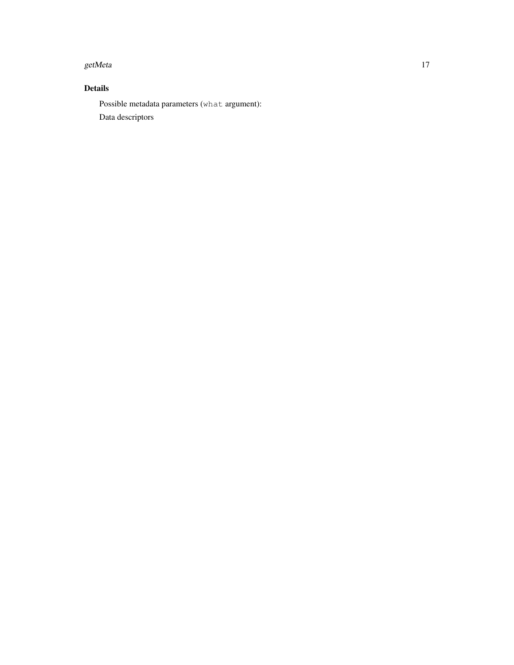#### getMeta and the set of the set of the set of the set of the set of the set of the set of the set of the set of the set of the set of the set of the set of the set of the set of the set of the set of the set of the set of t

# Details

Possible metadata parameters (what argument): Data descriptors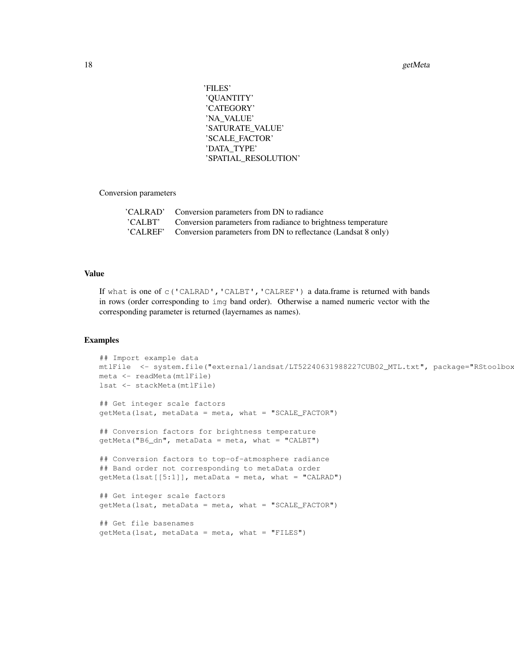'FILES' 'QUANTITY' 'CATEGORY' 'NA\_VALUE' 'SATURATE\_VALUE' 'SCALE\_FACTOR' 'DATA\_TYPE' 'SPATIAL\_RESOLUTION'

Conversion parameters

| 'CALRAD' Conversion parameters from DN to radiance                     |
|------------------------------------------------------------------------|
| 'CALBT' Conversion parameters from radiance to brightness temperature  |
| 'CALREF' Conversion parameters from DN to reflectance (Landsat 8 only) |

## Value

If what is one of c('CALRAD','CALBT','CALREF') a data.frame is returned with bands in rows (order corresponding to img band order). Otherwise a named numeric vector with the corresponding parameter is returned (layernames as names).

```
## Import example data
mtlFile <- system.file("external/landsat/LT52240631988227CUB02_MTL.txt", package="RStoolbox
meta <- readMeta(mtlFile)
lsat <- stackMeta(mtlFile)
## Get integer scale factors
getMeta(lsat, metaData = meta, what = "SCALE_FACTOR")
## Conversion factors for brightness temperature
getMeta("B6_dn", metabata = meta, what = "CALBT")## Conversion factors to top-of-atmosphere radiance
## Band order not corresponding to metaData order
getMeta(Isat[[5:1]], metabata = meta, what = "CALRAD")## Get integer scale factors
getMeta(lsat, metaData = meta, what = "SCALE_FACTOR")
## Get file basenames
qetheta(lsat, metaData = meta, what = "FILES")
```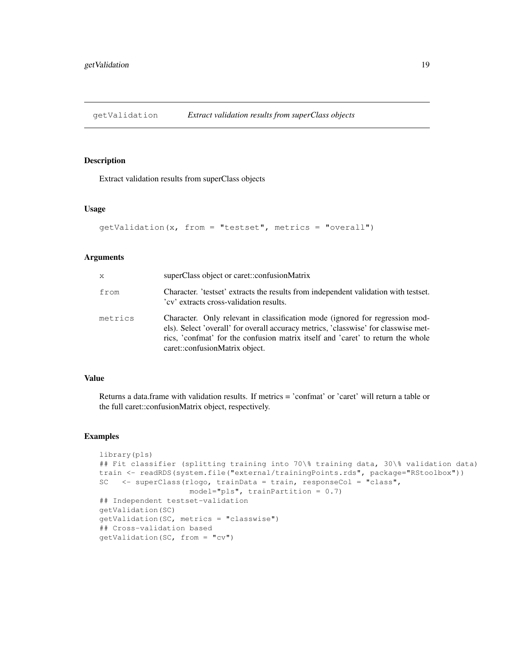getValidation *Extract validation results from superClass objects*

#### Description

Extract validation results from superClass objects

## Usage

```
getValidation(x, from = "testset", metrics = "overall")
```
#### Arguments

| $\mathsf{x}$ | superClass object or caret::confusionMatrix                                                                                                                                                                                                                                              |
|--------------|------------------------------------------------------------------------------------------------------------------------------------------------------------------------------------------------------------------------------------------------------------------------------------------|
| from         | Character. 'testset' extracts the results from independent validation with testset.<br>'cv' extracts cross-validation results.                                                                                                                                                           |
| metrics      | Character. Only relevant in classification mode (ignored for regression mod-<br>els). Select 'overall' for overall accuracy metrics, 'classwise' for classwise met-<br>rics, 'confmat' for the confusion matrix itself and 'caret' to return the whole<br>caret::confusionMatrix object. |

## Value

Returns a data.frame with validation results. If metrics = 'confmat' or 'caret' will return a table or the full caret::confusionMatrix object, respectively.

```
library(pls)
## Fit classifier (splitting training into 70\% training data, 30\% validation data)
train <- readRDS(system.file("external/trainingPoints.rds", package="RStoolbox"))
SC <- superClass(rlogo, trainData = train, responseCol = "class",
                    model="pls", trainPartition = 0.7)
## Independent testset-validation
getValidation(SC)
getValidation(SC, metrics = "classwise")
## Cross-validation based
getValidation(SC, from = "cv")
```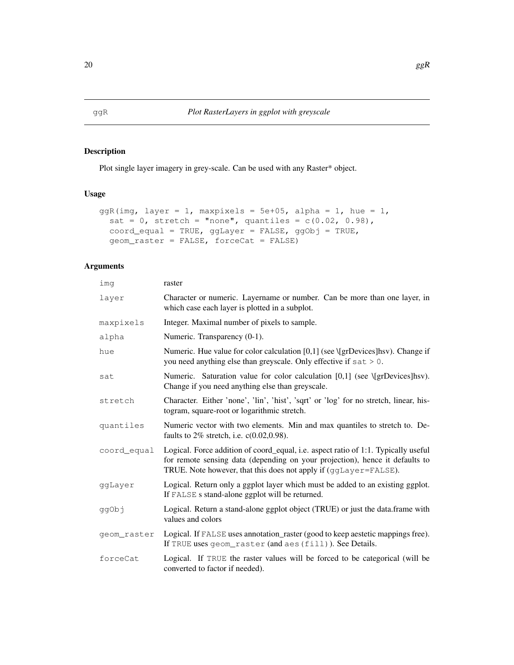Plot single layer imagery in grey-scale. Can be used with any Raster\* object.

# Usage

```
ggR(img, layer = 1, maxpixels = 5e+05, alpha = 1, hue = 1,sat = 0, stretch = "none", quantiles = c(0.02, 0.98),
  coord_equal = TRUE, ggLayer = FALSE, ggObj = TRUE,
  geom_raster = FALSE, forceCat = FALSE)
```

| imq         | raster                                                                                                                                                                                                                                 |
|-------------|----------------------------------------------------------------------------------------------------------------------------------------------------------------------------------------------------------------------------------------|
| layer       | Character or numeric. Layername or number. Can be more than one layer, in<br>which case each layer is plotted in a subplot.                                                                                                            |
| maxpixels   | Integer. Maximal number of pixels to sample.                                                                                                                                                                                           |
| alpha       | Numeric. Transparency (0-1).                                                                                                                                                                                                           |
| hue         | Numeric. Hue value for color calculation $[0,1]$ (see $\{grDevices\}$ hsv). Change if<br>you need anything else than greyscale. Only effective if sat > 0.                                                                             |
| sat         | Numeric. Saturation value for color calculation $[0,1]$ (see $\{grDevices\}$ hsv).<br>Change if you need anything else than greyscale.                                                                                                 |
| stretch     | Character. Either 'none', 'lin', 'hist', 'sqrt' or 'log' for no stretch, linear, his-<br>togram, square-root or logarithmic stretch.                                                                                                   |
| quantiles   | Numeric vector with two elements. Min and max quantiles to stretch to. De-<br>faults to $2\%$ stretch, i.e. c(0.02,0.98).                                                                                                              |
| coord_equal | Logical. Force addition of coord_equal, i.e. aspect ratio of 1:1. Typically useful<br>for remote sensing data (depending on your projection), hence it defaults to<br>TRUE. Note however, that this does not apply if (ggLayer=FALSE). |
| ggLayer     | Logical. Return only a ggplot layer which must be added to an existing ggplot.<br>If FALSE s stand-alone ggplot will be returned.                                                                                                      |
| ggObj       | Logical. Return a stand-alone ggplot object (TRUE) or just the data.frame with<br>values and colors                                                                                                                                    |
| geom_raster | Logical. If FALSE uses annotation_raster (good to keep aestetic mappings free).<br>If TRUE uses geom_raster (and aes (fill)). See Details.                                                                                             |
| forceCat    | Logical. If TRUE the raster values will be forced to be categorical (will be<br>converted to factor if needed).                                                                                                                        |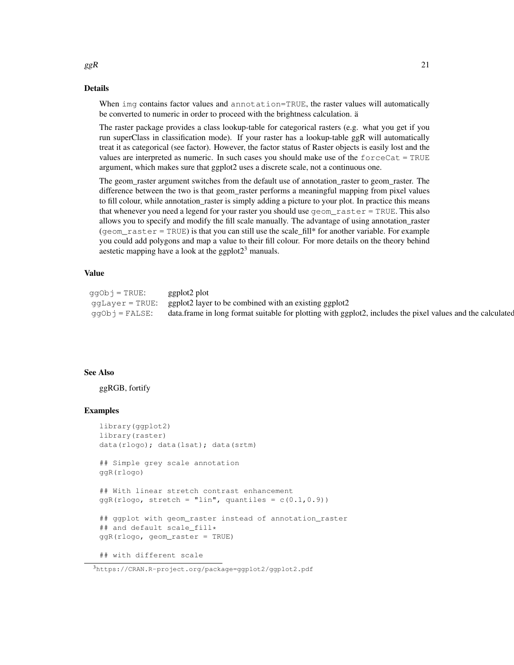#### Details

When img contains factor values and annotation=TRUE, the raster values will automatically be converted to numeric in order to proceed with the brightness calculation. ä

The raster package provides a class lookup-table for categorical rasters (e.g. what you get if you run superClass in classification mode). If your raster has a lookup-table ggR will automatically treat it as categorical (see factor). However, the factor status of Raster objects is easily lost and the values are interpreted as numeric. In such cases you should make use of the  $forceCat = TRUE$ argument, which makes sure that ggplot2 uses a discrete scale, not a continuous one.

The geom\_raster argument switches from the default use of annotation\_raster to geom\_raster. The difference between the two is that geom\_raster performs a meaningful mapping from pixel values to fill colour, while annotation\_raster is simply adding a picture to your plot. In practice this means that whenever you need a legend for your raster you should use  $qeom\_raster = TRUE$ . This also allows you to specify and modify the fill scale manually. The advantage of using annotation\_raster  $(qeom_r aster = TRUE)$  is that you can still use the scale\_fill\* for another variable. For example you could add polygons and map a value to their fill colour. For more details on the theory behind aestetic mapping have a look at the ggplot $2<sup>3</sup>$  manuals.

# Value

| ggObj = TRUE:  | ggplot2 plot                                                                                               |
|----------------|------------------------------------------------------------------------------------------------------------|
|                | $ggLayer = TRUE: gglot2 layer to be combined with an existing gglot2$                                      |
| qqObj = FALSE: | data.frame in long format suitable for plotting with ggplot2, includes the pixel values and the calculated |

#### See Also

ggRGB, fortify

## Examples

```
library(ggplot2)
library(raster)
data(rlogo); data(lsat); data(srtm)
## Simple grey scale annotation
ggR(rlogo)
## With linear stretch contrast enhancement
qgR(rlogo, stretch = "lin", quantiles = c(0.1, 0.9))## ggplot with geom_raster instead of annotation_raster
## and default scale_fill*
ggR(rlogo, geom_raster = TRUE)
## with different scale
```
#### $ggR$  21

<sup>3</sup>https://CRAN.R-project.org/package=ggplot2/ggplot2.pdf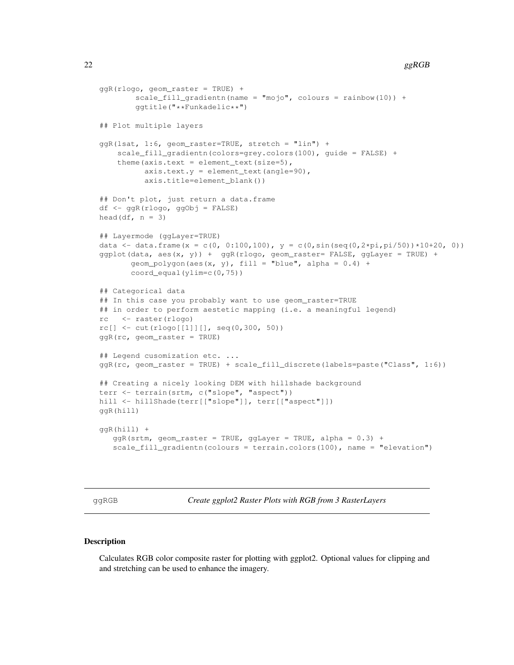#### 22 ggRGB

```
ggR(rlogo, geom_raster = TRUE) +
        scale_fill_gradientn(name = "mojo", colours = rainbow(10)) +
        ggtitle("**Funkadelic**")
## Plot multiple layers
ggR(lsat, 1:6, geom_raster=TRUE, stretch = "lin") +
    scale_fill_gradientn(colors=grey.colors(100), guide = FALSE) +
    theme(axis.text = element_text(size=5),
          axis.text.y = element\_text(name=90),
          axis.title=element_blank())
## Don't plot, just return a data.frame
df <- ggR(rlogo, ggObj = FALSE)
head(df, n = 3)
## Layermode (ggLayer=TRUE)
data <- data.frame(x = c(0, 0:100,100), y = c(0,sin(seq(0,2*pi,pi/50))*10+20, 0))
ggplot(data, aes(x, y)) + ggR(rlogo, geom\_raster = FALSE, gglayer = TRUE) +geom_polygon(aes(x, y), fill = "blue", alpha = 0.4) +
       coord_equal(ylim=c(0,75))
## Categorical data
## In this case you probably want to use geom_raster=TRUE
## in order to perform aestetic mapping (i.e. a meaningful legend)
rc <- raster(rlogo)
rc[] \leq -\text{cut}(\text{rlogo}[[1]][], \text{seq}(0, 300, 50))ggR(rc, geom_raster = TRUE)
## Legend cusomization etc. ...
ggR(rc, geom_raster = TRUE) + scale_fill_discrete(labels=paste("Class", 1:6))
## Creating a nicely looking DEM with hillshade background
terr <- terrain(srtm, c("slope", "aspect"))
hill <- hillShade(terr[["slope"]], terr[["aspect"]])
ggR(hill)
ggR(hill) +
   ggR(srtm, geom_raster = TRUE, ggLayer = TRUE, alpha = 0.3) +
   scale_fill_gradientn(colours = terrain.colors(100), name = "elevation")
```
ggRGB *Create ggplot2 Raster Plots with RGB from 3 RasterLayers*

## **Description**

Calculates RGB color composite raster for plotting with ggplot2. Optional values for clipping and and stretching can be used to enhance the imagery.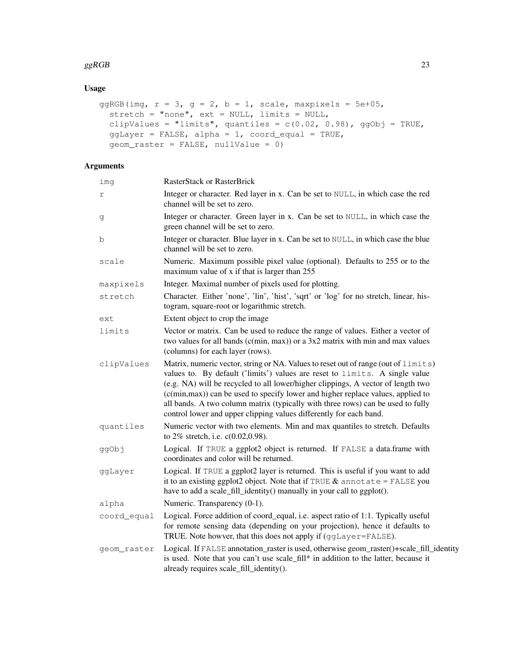## $ggRGB$  23

# Usage

```
ggRGB(img, r = 3, g = 2, b = 1, scale, maxpixels = 5e+05,stretch = "none", ext = NULL, limits = NULL,
  clipValues = "limits", quantiles = c(0.02, 0.98), ggObj = TRUE,
  ggLayer = FALSE, alpha = 1, coord_equal = TRUE,
  geom_raster = FALSE, nullValue = 0)
```

| img         | RasterStack or RasterBrick                                                                                                                                                                                                                                                                                                                                                                                                                                                                         |
|-------------|----------------------------------------------------------------------------------------------------------------------------------------------------------------------------------------------------------------------------------------------------------------------------------------------------------------------------------------------------------------------------------------------------------------------------------------------------------------------------------------------------|
| r           | Integer or character. Red layer in x. Can be set to NULL, in which case the red<br>channel will be set to zero.                                                                                                                                                                                                                                                                                                                                                                                    |
| g           | Integer or character. Green layer in x. Can be set to NULL, in which case the<br>green channel will be set to zero.                                                                                                                                                                                                                                                                                                                                                                                |
| b           | Integer or character. Blue layer in x. Can be set to NULL, in which case the blue<br>channel will be set to zero.                                                                                                                                                                                                                                                                                                                                                                                  |
| scale       | Numeric. Maximum possible pixel value (optional). Defaults to 255 or to the<br>maximum value of x if that is larger than 255                                                                                                                                                                                                                                                                                                                                                                       |
| maxpixels   | Integer. Maximal number of pixels used for plotting.                                                                                                                                                                                                                                                                                                                                                                                                                                               |
| stretch     | Character. Either 'none', 'lin', 'hist', 'sqrt' or 'log' for no stretch, linear, his-<br>togram, square-root or logarithmic stretch.                                                                                                                                                                                                                                                                                                                                                               |
| ext         | Extent object to crop the image                                                                                                                                                                                                                                                                                                                                                                                                                                                                    |
| limits      | Vector or matrix. Can be used to reduce the range of values. Either a vector of<br>two values for all bands $(c(min, max))$ or a 3x2 matrix with min and max values<br>(columns) for each layer (rows).                                                                                                                                                                                                                                                                                            |
| clipValues  | Matrix, numeric vector, string or NA. Values to reset out of range (out of limits)<br>values to. By default ('limits') values are reset to limits. A single value<br>(e.g. NA) will be recycled to all lower/higher clippings, A vector of length two<br>(c(min, max)) can be used to specify lower and higher replace values, applied to<br>all bands. A two column matrix (typically with three rows) can be used to fully<br>control lower and upper clipping values differently for each band. |
| quantiles   | Numeric vector with two elements. Min and max quantiles to stretch. Defaults<br>to $2\%$ stretch, i.e. c(0.02,0.98).                                                                                                                                                                                                                                                                                                                                                                               |
| ggObj       | Logical. If TRUE a ggplot2 object is returned. If FALSE a data.frame with<br>coordinates and color will be returned.                                                                                                                                                                                                                                                                                                                                                                               |
| ggLayer     | Logical. If TRUE a ggplot2 layer is returned. This is useful if you want to add<br>it to an existing ggplot2 object. Note that if TRUE $\&$ annotate = FALSE you<br>have to add a scale_fill_identity() manually in your call to ggplot().                                                                                                                                                                                                                                                         |
| alpha       | Numeric. Transparency (0-1).                                                                                                                                                                                                                                                                                                                                                                                                                                                                       |
| coord_equal | Logical. Force addition of coord_equal, i.e. aspect ratio of 1:1. Typically useful<br>for remote sensing data (depending on your projection), hence it defaults to<br>TRUE. Note howver, that this does not apply if (ggLayer=FALSE).                                                                                                                                                                                                                                                              |
| geom raster | Logical. If FALSE annotation_raster is used, otherwise geom_raster()+scale_fill_identity<br>is used. Note that you can't use scale_fill* in addition to the latter, because it<br>already requires scale_fill_identity().                                                                                                                                                                                                                                                                          |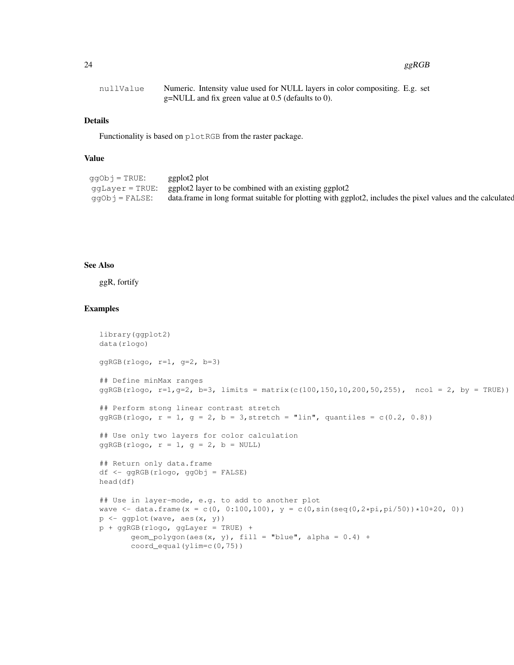#### 24 ggRGB

| nullValue | Numeric. Intensity value used for NULL layers in color compositing. E.g. set |
|-----------|------------------------------------------------------------------------------|
|           | $g=NULL$ and fix green value at 0.5 (defaults to 0).                         |

## Details

Functionality is based on plotRGB from the raster package.

# Value

| ggObj = TRUE:  | ggplot2 plot                                                                                               |
|----------------|------------------------------------------------------------------------------------------------------------|
|                | $ggLayer = TRUE: ggplot2 layer to be combined with an existing ggplot2$                                    |
| qqObj = FALSE: | data.frame in long format suitable for plotting with ggplot2, includes the pixel values and the calculated |

# See Also

ggR, fortify

```
library(ggplot2)
data(rlogo)
ggRGB(rlogo, r=1, g=2, b=3)
## Define minMax ranges
qqRGB(rlogo, r=1, q=2, b=3, \text{limits } = \text{matrix}(c(100, 150, 10, 200, 50, 255), ncol = 2, by = TRUE)## Perform stong linear contrast stretch
ggRGB(rlogo, r = 1, g = 2, b = 3, stretch = "lin", quantiles = c(0.2, 0.8))
## Use only two layers for color calculation
ggRGB(rlogo, r = 1, g = 2, b = NULL)## Return only data.frame
df <- ggRGB(rlogo, ggObj = FALSE)
head(df)
## Use in layer-mode, e.g. to add to another plot
wave \leq data.frame(x = c(0, 0:100,100), y = c(0,sin(seq(0,2*pi,pi/50))*10+20, 0))
p \leftarrow ggplot(wave, aes(x, y))
p + ggRGB(rlogo, ggLayer = TRUE) +
       geom_polygon(aes(x, y), fill = "blue", alpha = 0.4) +
       coord_equal(ylim=c(0,75))
```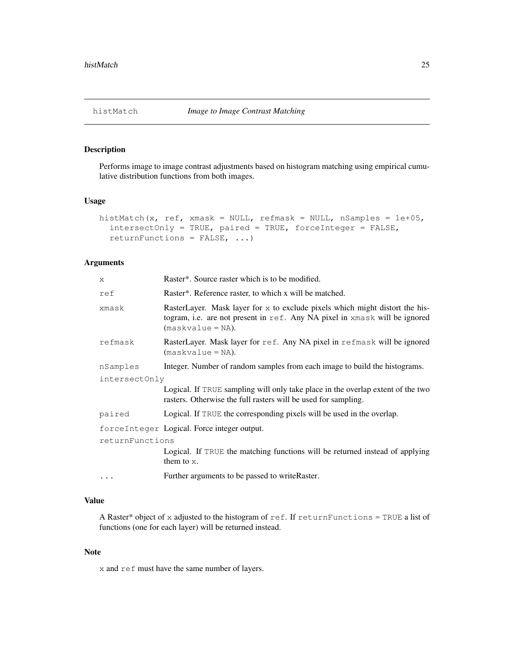Performs image to image contrast adjustments based on histogram matching using empirical cumulative distribution functions from both images.

#### Usage

```
histMatch(x, ref, xmask = NULL, refmask = NULL, nSamples = 1e+05,
  intersectOnly = TRUE, paired = TRUE, forceInteger = FALSE,
  returnFunctions = FALSE, ...)
```
# Arguments

| X.              | Raster*. Source raster which is to be modified.                                                                                                                                     |
|-----------------|-------------------------------------------------------------------------------------------------------------------------------------------------------------------------------------|
| ref             | Raster*. Reference raster, to which x will be matched.                                                                                                                              |
| xmask           | RasterLayer. Mask layer for $x$ to exclude pixels which might distort the his-<br>togram, i.e. are not present in ref. Any NA pixel in xmask will be ignored<br>$(maxkvalue = NA).$ |
| refmask         | RasterLayer. Mask layer for ref. Any NA pixel in refmask will be ignored<br>$(maxkvalue = NA).$                                                                                     |
| nSamples        | Integer. Number of random samples from each image to build the histograms.                                                                                                          |
| intersectOnly   |                                                                                                                                                                                     |
|                 | Logical. If TRUE sampling will only take place in the overlap extent of the two<br>rasters. Otherwise the full rasters will be used for sampling.                                   |
| paired          | Logical. If TRUE the corresponding pixels will be used in the overlap.                                                                                                              |
|                 | forceInteger Logical. Force integer output.                                                                                                                                         |
| returnFunctions |                                                                                                                                                                                     |
|                 | Logical. If TRUE the matching functions will be returned instead of applying<br>them to $x$ .                                                                                       |
| $\cdots$        | Further arguments to be passed to writeRaster.                                                                                                                                      |

# Value

A Raster\* object of x adjusted to the histogram of ref. If returnFunctions = TRUE a list of functions (one for each layer) will be returned instead.

#### Note

x and ref must have the same number of layers.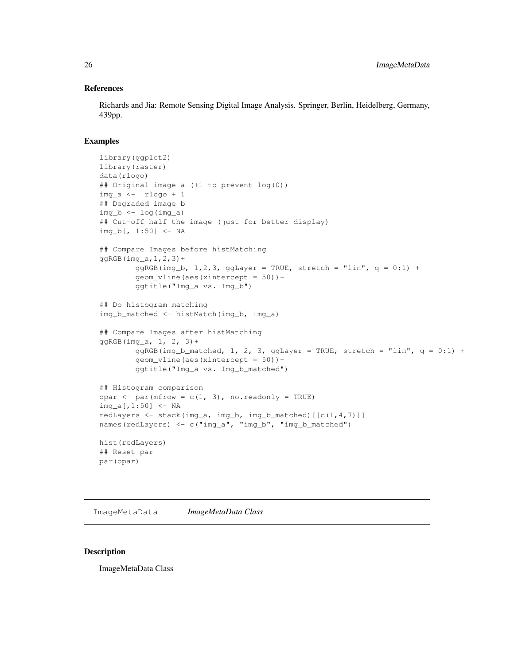## References

Richards and Jia: Remote Sensing Digital Image Analysis. Springer, Berlin, Heidelberg, Germany, 439pp.

## Examples

```
library(ggplot2)
library(raster)
data(rlogo)
## Original image a (+1 to prevent log(0))
img_a <- rlogo + 1
## Degraded image b
img_b \leftarrow log(imq_a)## Cut-off half the image (just for better display)
img_b[, 1:50] <- NA
## Compare Images before histMatching
qqRGB(imq_a,1,2,3)+ggRGB(img_b, 1,2,3, ggLayer = TRUE, stretch = "lin", q = 0:1) +geom_vline(aes(xintercept = 50))+
        ggtitle("Img_a vs. Img_b")
## Do histogram matching
img_b_matched <- histMatch(img_b, img_a)
## Compare Images after histMatching
ggRGB(img_a, 1, 2, 3) +ggRGB(img_b_matched, 1, 2, 3, gglayer = TRUE, stretch = "lin", q = 0:1) +geom_vline(aes(xintercept = 50))+
        ggtitle("Img_a vs. Img_b_matched")
## Histogram comparison
opar \leq par(mfrow = c(1, 3), no.readonly = TRUE)
img_a[,1:50] <- NA
redLayers <- stack(img_a, img_b, img_b_matched)[[c(1,4,7)]]
names(redLayers) <- c("img_a", "img_b", "img_b_matched")
hist(redLayers)
## Reset par
par(opar)
```
ImageMetaData *ImageMetaData Class*

## **Description**

ImageMetaData Class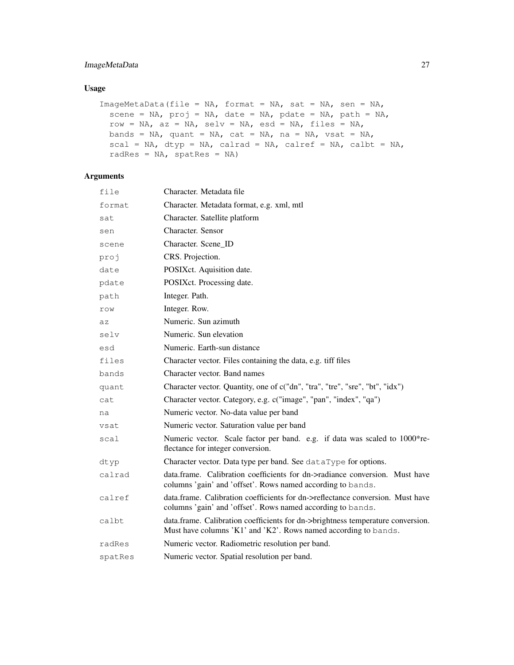# ImageMetaData 27

# Usage

```
ImageMetaData(file = NA, format = NA, sat = NA, sen = NA,
 scene = NA, proj = NA, date = NA, pdate = NA, path = NA,
 row = NA, az = NA, selv = NA, esd = NA, files = NA,
 bands = NA, quant = NA, cat = NA, na = NA, vsat = NA,
 scal = NA, dtyp = NA, calrad = NA, calref = NA, calbt = NA,
 radRes = NA, spatRes = NA)
```

| file    | Character. Metadata file                                                                                                                           |
|---------|----------------------------------------------------------------------------------------------------------------------------------------------------|
| format  | Character. Metadata format, e.g. xml, mtl                                                                                                          |
| sat     | Character. Satellite platform                                                                                                                      |
| sen     | Character, Sensor                                                                                                                                  |
| scene   | Character. Scene ID                                                                                                                                |
| proj    | CRS. Projection.                                                                                                                                   |
| date    | POSIXct. Aquisition date.                                                                                                                          |
| pdate   | POSIXct. Processing date.                                                                                                                          |
| path    | Integer. Path.                                                                                                                                     |
| row     | Integer. Row.                                                                                                                                      |
| az      | Numeric. Sun azimuth                                                                                                                               |
| selv    | Numeric. Sun elevation                                                                                                                             |
| esd     | Numeric. Earth-sun distance                                                                                                                        |
| files   | Character vector. Files containing the data, e.g. tiff files                                                                                       |
| bands   | Character vector. Band names                                                                                                                       |
| quant   | Character vector. Quantity, one of c("dn", "tra", "tre", "sre", "bt", "idx")                                                                       |
| cat     | Character vector. Category, e.g. c("image", "pan", "index", "qa")                                                                                  |
| na      | Numeric vector. No-data value per band                                                                                                             |
| vsat    | Numeric vector. Saturation value per band                                                                                                          |
| scal    | Numeric vector. Scale factor per band. e.g. if data was scaled to 1000*re-<br>flectance for integer conversion.                                    |
| dtyp    | Character vector. Data type per band. See dataType for options.                                                                                    |
| calrad  | data.frame. Calibration coefficients for dn->radiance conversion. Must have<br>columns 'gain' and 'offset'. Rows named according to bands.         |
| calref  | data.frame. Calibration coefficients for dn->reflectance conversion. Must have<br>columns 'gain' and 'offset'. Rows named according to bands.      |
| calbt   | data.frame. Calibration coefficients for dn->brightness temperature conversion.<br>Must have columns 'K1' and 'K2'. Rows named according to bands. |
| radRes  | Numeric vector. Radiometric resolution per band.                                                                                                   |
| spatRes | Numeric vector. Spatial resolution per band.                                                                                                       |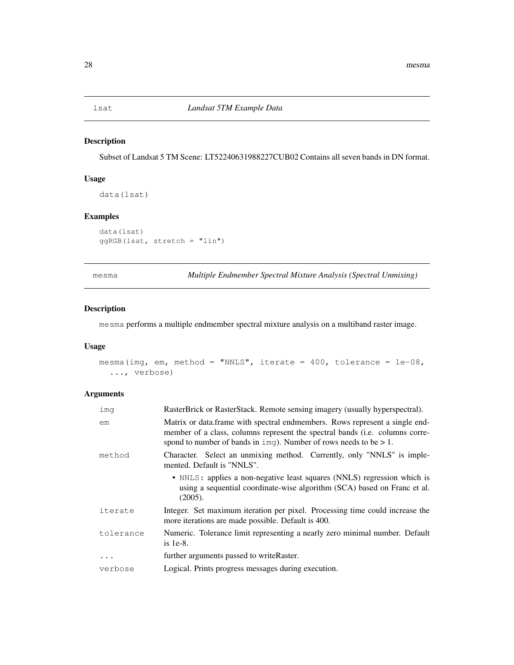Subset of Landsat 5 TM Scene: LT52240631988227CUB02 Contains all seven bands in DN format.

## Usage

data(lsat)

# Examples

data(lsat) ggRGB(lsat, stretch = "lin")

mesma *Multiple Endmember Spectral Mixture Analysis (Spectral Unmixing)*

# Description

mesma performs a multiple endmember spectral mixture analysis on a multiband raster image.

# Usage

```
mesma(img, em, method = "NNLS", iterate = 400, tolerance = 1e-08,
  ..., verbose)
```

| imq       | RasterBrick or RasterStack. Remote sensing imagery (usually hyperspectral).                                                                                                                                                                         |
|-----------|-----------------------------------------------------------------------------------------------------------------------------------------------------------------------------------------------------------------------------------------------------|
| em        | Matrix or data.frame with spectral endmembers. Rows represent a single end-<br>member of a class, columns represent the spectral bands (i.e. columns corre-<br>spond to number of bands in $\text{im} \sigma$ ). Number of rows needs to be $> 1$ . |
| method    | Character. Select an unmixing method. Currently, only "NNLS" is imple-<br>mented. Default is "NNLS".                                                                                                                                                |
|           | • NNLS: applies a non-negative least squares (NNLS) regression which is<br>using a sequential coordinate-wise algorithm (SCA) based on Franc et al.<br>(2005).                                                                                      |
| iterate   | Integer. Set maximum iteration per pixel. Processing time could increase the<br>more iterations are made possible. Default is 400.                                                                                                                  |
| tolerance | Numeric. Tolerance limit representing a nearly zero minimal number. Default<br>is $1e-8$ .                                                                                                                                                          |
| .         | further arguments passed to write Raster.                                                                                                                                                                                                           |
| verbose   | Logical. Prints progress messages during execution.                                                                                                                                                                                                 |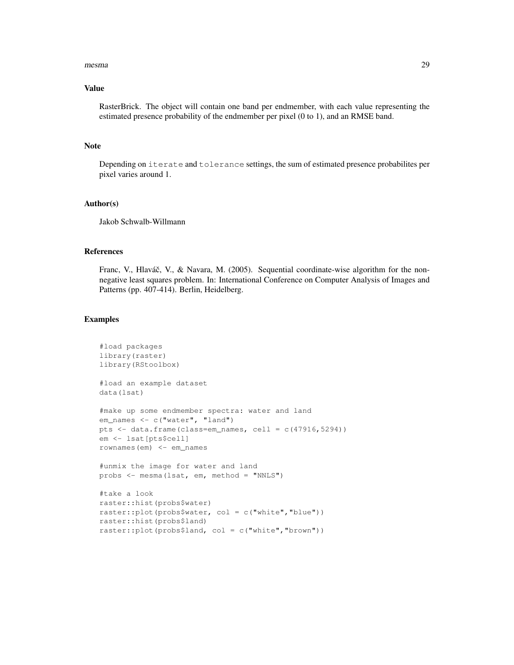#### mesma 29

# Value

RasterBrick. The object will contain one band per endmember, with each value representing the estimated presence probability of the endmember per pixel (0 to 1), and an RMSE band.

## Note

Depending on iterate and tolerance settings, the sum of estimated presence probabilites per pixel varies around 1.

## Author(s)

Jakob Schwalb-Willmann

## References

Franc, V., Hlaváč, V., & Navara, M. (2005). Sequential coordinate-wise algorithm for the nonnegative least squares problem. In: International Conference on Computer Analysis of Images and Patterns (pp. 407-414). Berlin, Heidelberg.

```
#load packages
library(raster)
library(RStoolbox)
#load an example dataset
data(lsat)
#make up some endmember spectra: water and land
em_names <- c("water", "land")
pts <- data.frame(class=em_names, cell = c(47916,5294))
em <- lsat[pts$cell]
rownames(em) <- em_names
#unmix the image for water and land
probs <- mesma(lsat, em, method = "NNLS")
#take a look
raster::hist(probs$water)
raster::plot(probs$water, col = c("white","blue"))
raster::hist(probs$land)
raster::plot(probs$land, col = c("white","brown"))
```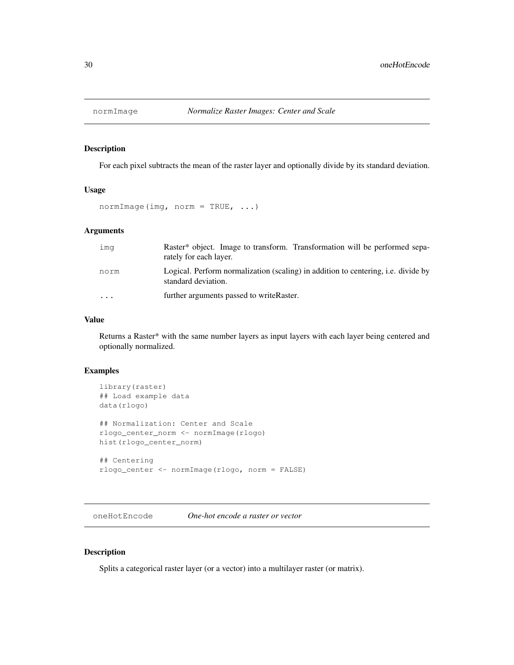For each pixel subtracts the mean of the raster layer and optionally divide by its standard deviation.

# Usage

normImage(img, norm = TRUE, ...)

# Arguments

| ima  | Raster <sup>*</sup> object. Image to transform. Transformation will be performed sepa-<br>rately for each layer. |
|------|------------------------------------------------------------------------------------------------------------------|
| norm | Logical. Perform normalization (scaling) in addition to centering, i.e. divide by<br>standard deviation.         |
| .    | further arguments passed to write Raster.                                                                        |

## Value

Returns a Raster\* with the same number layers as input layers with each layer being centered and optionally normalized.

## Examples

```
library(raster)
## Load example data
data(rlogo)
## Normalization: Center and Scale
rlogo_center_norm <- normImage(rlogo)
hist(rlogo_center_norm)
## Centering
rlogo_center <- normImage(rlogo, norm = FALSE)
```
oneHotEncode *One-hot encode a raster or vector*

## Description

Splits a categorical raster layer (or a vector) into a multilayer raster (or matrix).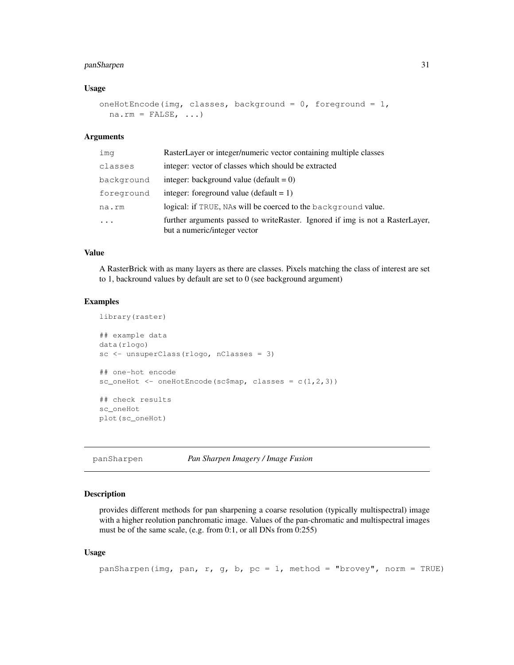# panSharpen 31

#### Usage

```
oneHotEncode(img, classes, background = 0, foreground = 1,
 na.rm = FALSE, ...)
```
#### Arguments

| imq        | RasterLayer or integer/numeric vector containing multiple classes                                             |
|------------|---------------------------------------------------------------------------------------------------------------|
| classes    | integer: vector of classes which should be extracted                                                          |
| background | integer: background value (default $= 0$ )                                                                    |
| foreground | integer: foreground value (default $= 1$ )                                                                    |
| na.rm      | logical: if TRUE, NAs will be coerced to the background value.                                                |
| $\ddots$   | further arguments passed to writeRaster. Ignored if img is not a RasterLayer,<br>but a numeric/integer vector |

## Value

A RasterBrick with as many layers as there are classes. Pixels matching the class of interest are set to 1, backround values by default are set to 0 (see background argument)

#### Examples

```
library(raster)
## example data
data(rlogo)
sc <- unsuperClass(rlogo, nClasses = 3)
## one-hot encode
sc_oneHot <- oneHotEncode(sc$map, classes = c(1,2,3))
## check results
sc_oneHot
plot(sc_oneHot)
```
panSharpen *Pan Sharpen Imagery / Image Fusion*

## Description

provides different methods for pan sharpening a coarse resolution (typically multispectral) image with a higher reolution panchromatic image. Values of the pan-chromatic and multispectral images must be of the same scale, (e.g. from 0:1, or all DNs from 0:255)

## Usage

```
panSharpen(img, pan, r, g, b, pc = 1, method = "brovey", norm = TRUE)
```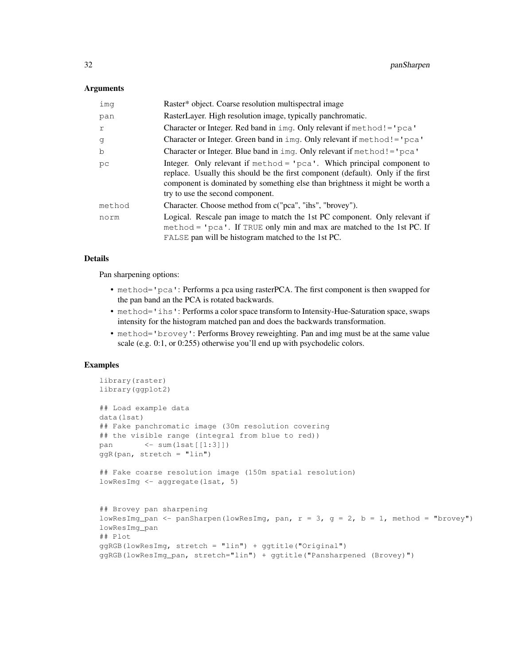### **Arguments**

| imq    | Raster* object. Coarse resolution multispectral image                                                                                                                                                                                                                            |
|--------|----------------------------------------------------------------------------------------------------------------------------------------------------------------------------------------------------------------------------------------------------------------------------------|
| pan    | RasterLayer. High resolution image, typically panchromatic.                                                                                                                                                                                                                      |
| r      | Character or Integer. Red band in $img.$ Only relevant if method! = 'pca'                                                                                                                                                                                                        |
| q      | Character or Integer. Green band in imq. Only relevant if method! = $'$ pca'                                                                                                                                                                                                     |
| b      | Character or Integer. Blue band in $img.$ Only relevant if method! = $'pca'$                                                                                                                                                                                                     |
| pс     | Integer. Only relevant if $method = 'pca'.$ Which principal component to<br>replace. Usually this should be the first component (default). Only if the first<br>component is dominated by something else than brightness it might be worth a<br>try to use the second component. |
| method | Character. Choose method from c("pca", "ihs", "brovey").                                                                                                                                                                                                                         |
| norm   | Logical. Rescale pan image to match the 1st PC component. Only relevant if<br>method = $'pca'$ . If TRUE only min and max are matched to the 1st PC. If<br>FALSE pan will be histogram matched to the 1st PC.                                                                    |

# Details

Pan sharpening options:

- method='pca': Performs a pca using rasterPCA. The first component is then swapped for the pan band an the PCA is rotated backwards.
- method='ihs': Performs a color space transform to Intensity-Hue-Saturation space, swaps intensity for the histogram matched pan and does the backwards transformation.
- method='brovey': Performs Brovey reweighting. Pan and img must be at the same value scale (e.g. 0:1, or 0:255) otherwise you'll end up with psychodelic colors.

```
library(raster)
library(ggplot2)
## Load example data
data(lsat)
## Fake panchromatic image (30m resolution covering
## the visible range (integral from blue to red))
pan <- sum(lsat[[1:3]])
qqR(pan, stretch = "lin")## Fake coarse resolution image (150m spatial resolution)
lowResImg <- aggregate(lsat, 5)
## Brovey pan sharpening
lowResImg_pan <- panSharpen(lowResImg, pan, r = 3, q = 2, b = 1, method = "brovey")
lowResImg_pan
## Plot
ggRGB(lowResImg, stretch = "lin") + ggtitle("Original")
ggRGB(lowResImg_pan, stretch="lin") + ggtitle("Pansharpened (Brovey)")
```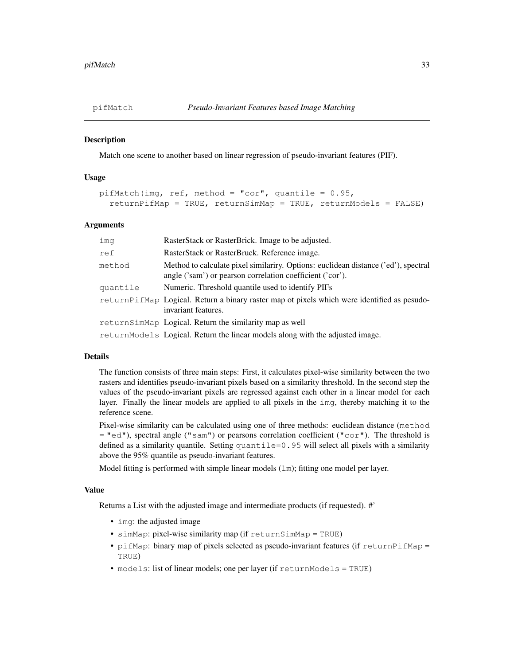Match one scene to another based on linear regression of pseudo-invariant features (PIF).

## Usage

```
pifMatch(img, ref, method = "cor", quantile = 0.95,
  returnPifMap = TRUE, returnSimMap = TRUE, returnModels = FALSE)
```
## Arguments

| imq      | RasterStack or RasterBrick. Image to be adjusted.                                                                                               |
|----------|-------------------------------------------------------------------------------------------------------------------------------------------------|
| ref      | RasterStack or RasterBruck. Reference image.                                                                                                    |
| method   | Method to calculate pixel similariry. Options: euclidean distance ('ed'), spectral<br>angle ('sam') or pearson correlation coefficient ('cor'). |
| quantile | Numeric. Threshold quantile used to identify PIFs                                                                                               |
|          | returnPifMap Logical. Return a binary raster map ot pixels which were identified as pesudo-<br>invariant features.                              |
|          | returnSimMap Logical. Return the similarity map as well                                                                                         |
|          | returnModels Logical. Return the linear models along with the adjusted image.                                                                   |

#### Details

The function consists of three main steps: First, it calculates pixel-wise similarity between the two rasters and identifies pseudo-invariant pixels based on a similarity threshold. In the second step the values of the pseudo-invariant pixels are regressed against each other in a linear model for each layer. Finally the linear models are applied to all pixels in the img, thereby matching it to the reference scene.

Pixel-wise similarity can be calculated using one of three methods: euclidean distance (method = "ed"), spectral angle ("sam") or pearsons correlation coefficient ("cor"). The threshold is defined as a similarity quantile. Setting quantile=0.95 will select all pixels with a similarity above the 95% quantile as pseudo-invariant features.

Model fitting is performed with simple linear models (1m); fitting one model per layer.

## Value

Returns a List with the adjusted image and intermediate products (if requested). #'

- img: the adjusted image
- simMap: pixel-wise similarity map (if returnSimMap = TRUE)
- pifMap: binary map of pixels selected as pseudo-invariant features (if returnPifMap = TRUE)
- models: list of linear models; one per layer (if returnModels = TRUE)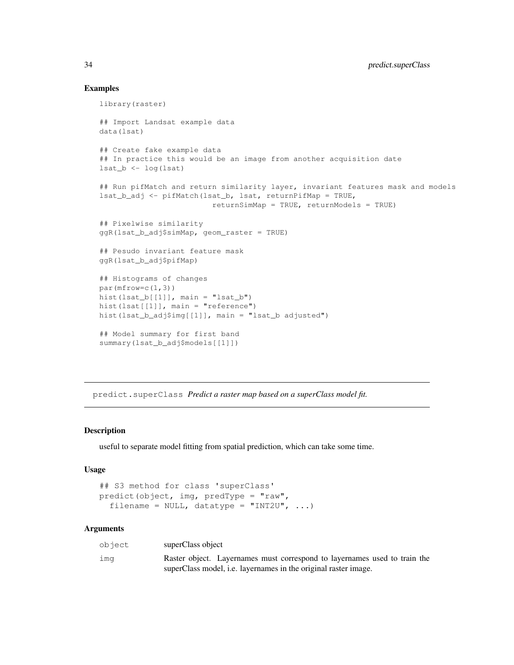## Examples

```
library(raster)
## Import Landsat example data
data(lsat)
## Create fake example data
## In practice this would be an image from another acquisition date
last_b \leftarrow log(lsat)## Run pifMatch and return similarity layer, invariant features mask and models
lsat_b_adj <- pifMatch(lsat_b, lsat, returnPifMap = TRUE,
                         returnSimMap = TRUE, returnModels = TRUE)
## Pixelwise similarity
ggR(lsat_b_adj$simMap, geom_raster = TRUE)
## Pesudo invariant feature mask
ggR(lsat_b_adj$pifMap)
## Histograms of changes
par(mfrow=c(1,3))hist(lsat_b[[1]], main = "lsat_b")
hist(lsat[[1]], main = "reference")
hist(lsat_b_adj$img[[1]], main = "lsat_b adjusted")
## Model summary for first band
summary(lsat_b_adj$models[[1]])
```
predict.superClass *Predict a raster map based on a superClass model fit.*

## Description

useful to separate model fitting from spatial prediction, which can take some time.

#### Usage

```
## S3 method for class 'superClass'
predict(object, img, predType = "raw",
  filename = NULL, datatype = "INT2U", \ldots)
```

| object | superClass object                                                         |
|--------|---------------------------------------------------------------------------|
| ima    | Raster object. Layernames must correspond to layernames used to train the |
|        | superClass model, <i>i.e.</i> layernames in the original raster image.    |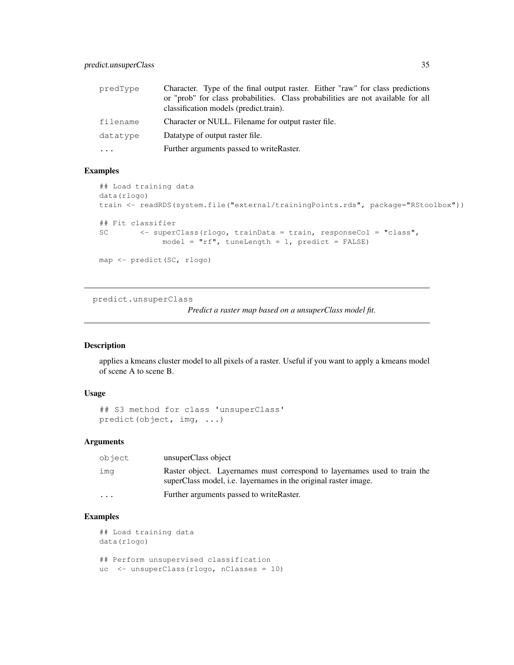| predType          | Character. Type of the final output raster. Either "raw" for class predictions   |
|-------------------|----------------------------------------------------------------------------------|
|                   | or "prob" for class probabilities. Class probabilities are not available for all |
|                   | classification models (predict.train).                                           |
| filename          | Character or NULL. Filename for output raster file.                              |
| datatype          | Datatype of output raster file.                                                  |
| $\cdot\cdot\cdot$ | Further arguments passed to writeRaster.                                         |

# Examples

```
## Load training data
data(rlogo)
train <- readRDS(system.file("external/trainingPoints.rds", package="RStoolbox"))
## Fit classifier
SC <- superClass(rlogo, trainData = train, responseCol = "class",
             model = "rf", tuneLength = 1, predict = FALSE)map <- predict(SC, rlogo)
```
predict.unsuperClass

*Predict a raster map based on a unsuperClass model fit.*

# Description

applies a kmeans cluster model to all pixels of a raster. Useful if you want to apply a kmeans model of scene A to scene B.

## Usage

```
## S3 method for class 'unsuperClass'
predict(object, img, ...)
```
#### Arguments

| object   | unsuperClass object                                                                                                                                 |
|----------|-----------------------------------------------------------------------------------------------------------------------------------------------------|
| ima      | Raster object. Layernames must correspond to layernames used to train the<br>superClass model, <i>i.e.</i> layernames in the original raster image. |
| $\cdots$ | Further arguments passed to write Raster.                                                                                                           |

```
## Load training data
data(rlogo)
## Perform unsupervised classification
uc <- unsuperClass(rlogo, nClasses = 10)
```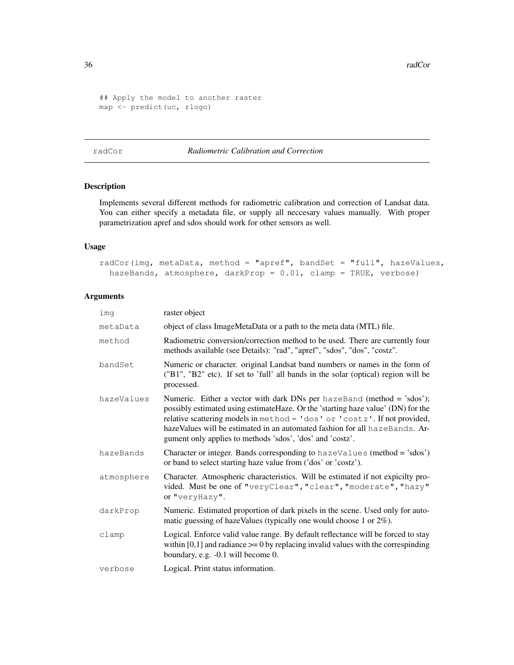36 radCor and the contract of the corresponding to the corresponding to the corresponding to the corresponding of the corresponding to the corresponding to the corresponding to the corresponding to the corresponding to the

```
## Apply the model to another raster
map <- predict(uc, rlogo)
```
radCor *Radiometric Calibration and Correction*

# Description

Implements several different methods for radiometric calibration and correction of Landsat data. You can either specify a metadata file, or supply all neccesary values manually. With proper parametrization apref and sdos should work for other sensors as well.

## Usage

```
radCor(img, metaData, method = "apref", bandSet = "full", hazeValues,
 hazeBands, atmosphere, darkProp = 0.01, clamp = TRUE, verbose)
```

| ima        | raster object                                                                                                                                                                                                                                                                                                                                                                        |
|------------|--------------------------------------------------------------------------------------------------------------------------------------------------------------------------------------------------------------------------------------------------------------------------------------------------------------------------------------------------------------------------------------|
| metaData   | object of class ImageMetaData or a path to the meta data (MTL) file.                                                                                                                                                                                                                                                                                                                 |
| method     | Radiometric conversion/correction method to be used. There are currently four<br>methods available (see Details): "rad", "apref", "sdos", "dos", "costz".                                                                                                                                                                                                                            |
| bandSet    | Numeric or character. original Landsat band numbers or names in the form of<br>("B1", "B2" etc). If set to 'full' all bands in the solar (optical) region will be<br>processed.                                                                                                                                                                                                      |
| hazeValues | Numeric. Either a vector with dark DNs per hazeBand (method = 'sdos');<br>possibly estimated using estimate Haze. Or the 'starting haze value' (DN) for the<br>relative scattering models in method = 'dos' or 'costz'. If not provided,<br>hazeValues will be estimated in an automated fashion for all hazeBands. Ar-<br>gument only applies to methods 'sdos', 'dos' and 'costz'. |
| hazeBands  | Character or integer. Bands corresponding to $hazeValues$ (method = 'sdos')<br>or band to select starting haze value from ('dos' or 'costz').                                                                                                                                                                                                                                        |
| atmosphere | Character. Atmospheric characteristics. Will be estimated if not expicilty pro-<br>vided. Must be one of "veryClear", "clear", "moderate", "hazy"<br>or "veryHazy".                                                                                                                                                                                                                  |
| darkProp   | Numeric. Estimated proportion of dark pixels in the scene. Used only for auto-<br>matic guessing of hazeValues (typically one would choose 1 or $2\%$ ).                                                                                                                                                                                                                             |
| clamp      | Logical. Enforce valid value range. By default reflectance will be forced to stay<br>within $[0,1]$ and radiance $\geq 0$ by replacing invalid values with the correspinding<br>boundary, e.g. -0.1 will become 0.                                                                                                                                                                   |
| verbose    | Logical. Print status information.                                                                                                                                                                                                                                                                                                                                                   |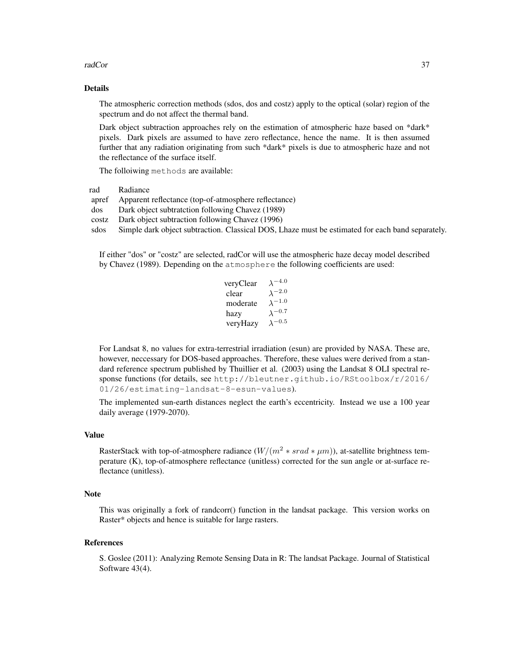#### radCor 37

## Details

The atmospheric correction methods (sdos, dos and costz) apply to the optical (solar) region of the spectrum and do not affect the thermal band.

Dark object subtraction approaches rely on the estimation of atmospheric haze based on \*dark\* pixels. Dark pixels are assumed to have zero reflectance, hence the name. It is then assumed further that any radiation originating from such \*dark\* pixels is due to atmospheric haze and not the reflectance of the surface itself.

The folloiwing methods are available:

rad Radiance

apref Apparent reflectance (top-of-atmosphere reflectance)

- dos Dark object subtratction following Chavez (1989)
- costz Dark object subtraction following Chavez (1996)

sdos Simple dark object subtraction. Classical DOS, Lhaze must be estimated for each band separately.

If either "dos" or "costz" are selected, radCor will use the atmospheric haze decay model described by Chavez (1989). Depending on the atmosphere the following coefficients are used:

| veryClear | $\lambda^{-4.0}$ |
|-----------|------------------|
| clear     | $\lambda^{-2.0}$ |
| moderate  | $\lambda^{-1.0}$ |
| hazy      | $\lambda^{-0.7}$ |
| veryHazy  | $\lambda^{-0.5}$ |

For Landsat 8, no values for extra-terrestrial irradiation (esun) are provided by NASA. These are, however, neccessary for DOS-based approaches. Therefore, these values were derived from a standard reference spectrum published by Thuillier et al. (2003) using the Landsat 8 OLI spectral response functions (for details, see http://bleutner.github.io/RStoolbox/r/2016/ 01/26/estimating-landsat-8-esun-values).

The implemented sun-earth distances neglect the earth's eccentricity. Instead we use a 100 year daily average (1979-2070).

# Value

RasterStack with top-of-atmosphere radiance  $(W/(m^2 * grad * \mu m))$ , at-satellite brightness temperature (K), top-of-atmosphere reflectance (unitless) corrected for the sun angle or at-surface reflectance (unitless).

#### Note

This was originally a fork of randcorr() function in the landsat package. This version works on Raster\* objects and hence is suitable for large rasters.

#### References

S. Goslee (2011): Analyzing Remote Sensing Data in R: The landsat Package. Journal of Statistical Software 43(4).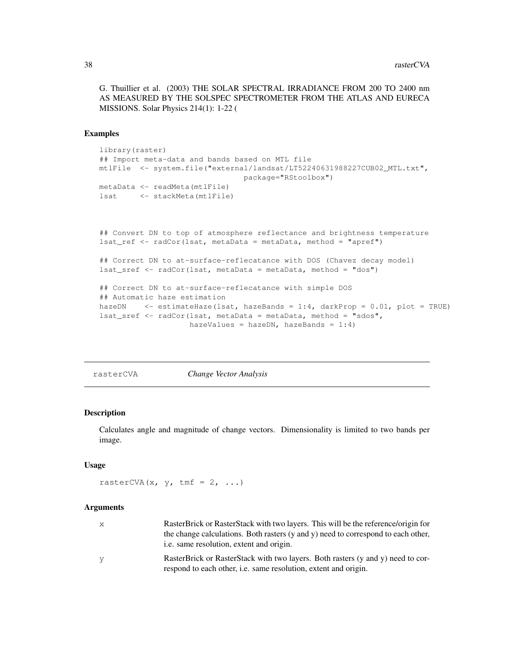G. Thuillier et al. (2003) THE SOLAR SPECTRAL IRRADIANCE FROM 200 TO 2400 nm AS MEASURED BY THE SOLSPEC SPECTROMETER FROM THE ATLAS AND EURECA MISSIONS. Solar Physics 214(1): 1-22 (

## Examples

```
library(raster)
## Import meta-data and bands based on MTL file
mtlFile <- system.file("external/landsat/LT52240631988227CUB02_MTL.txt",
                                package="RStoolbox")
metaData <- readMeta(mtlFile)
lsat <- stackMeta(mtlFile)
## Convert DN to top of atmosphere reflectance and brightness temperature
lsat_ref <- radCor(lsat, metaData = metaData, method = "apref")
## Correct DN to at-surface-reflecatance with DOS (Chavez decay model)
lsat_sref <- radCor(lsat, metaData = metaData, method = "dos")
## Correct DN to at-surface-reflecatance with simple DOS
## Automatic haze estimation
hazeDN <- estimateHaze(lsat, hazeBands = 1:4, darkProp = 0.01, plot = TRUE)
lsat_sref <- radCor(lsat, metaData = metaData, method = "sdos",
                   hazeValues = hazeDN, hazeBands = 1:4)
```
rasterCVA *Change Vector Analysis*

# Description

Calculates angle and magnitude of change vectors. Dimensionality is limited to two bands per image.

## Usage

```
rasterCVA(x, y, tmf = 2, ...)
```

| X | RasterBrick or RasterStack with two layers. This will be the reference/origin for<br>the change calculations. Both rasters (y and y) need to correspond to each other,<br><i>i.e.</i> same resolution, extent and origin. |
|---|---------------------------------------------------------------------------------------------------------------------------------------------------------------------------------------------------------------------------|
| У | RasterBrick or RasterStack with two layers. Both rasters (y and y) need to cor-<br>respond to each other, i.e. same resolution, extent and origin.                                                                        |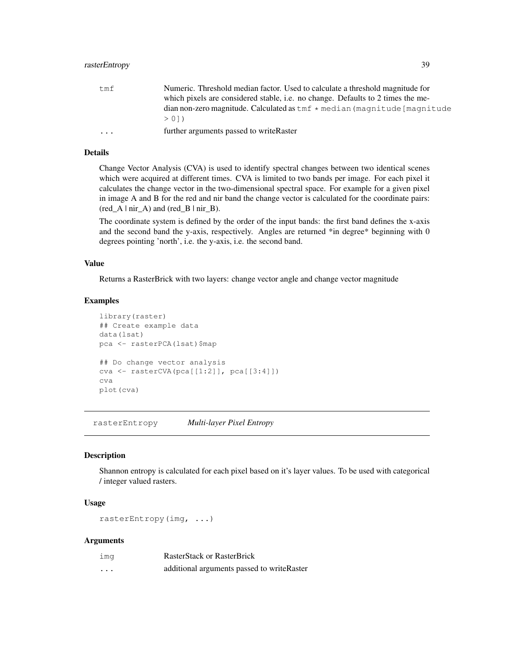## rasterEntropy 39

| tmf                     | Numeric. Threshold median factor. Used to calculate a threshold magnitude for<br>which pixels are considered stable, i.e. no change. Defaults to 2 times the me- |
|-------------------------|------------------------------------------------------------------------------------------------------------------------------------------------------------------|
|                         | $d$ ian non-zero magnitude. Calculated as $\tan \theta *$ median (magnitude [magnitude]                                                                          |
|                         | > 011                                                                                                                                                            |
| $\cdot$ $\cdot$ $\cdot$ | further arguments passed to writeRaster                                                                                                                          |

## Details

Change Vector Analysis (CVA) is used to identify spectral changes between two identical scenes which were acquired at different times. CVA is limited to two bands per image. For each pixel it calculates the change vector in the two-dimensional spectral space. For example for a given pixel in image A and B for the red and nir band the change vector is calculated for the coordinate pairs:  $(\text{red}\_\text{A} \mid \text{nir}\_\text{A})$  and  $(\text{red}\_\text{B} \mid \text{nir}\_\text{B})$ .

The coordinate system is defined by the order of the input bands: the first band defines the x-axis and the second band the y-axis, respectively. Angles are returned \*in degree\* beginning with 0 degrees pointing 'north', i.e. the y-axis, i.e. the second band.

## Value

Returns a RasterBrick with two layers: change vector angle and change vector magnitude

#### Examples

```
library(raster)
## Create example data
data(lsat)
pca <- rasterPCA(lsat)$map
## Do change vector analysis
cva <- rasterCVA(pca[[1:2]], pca[[3:4]])
cva
plot(cva)
```
rasterEntropy *Multi-layer Pixel Entropy*

## Description

Shannon entropy is calculated for each pixel based on it's layer values. To be used with categorical / integer valued rasters.

## Usage

```
rasterEntropy(img, ...)
```

| ima     | <b>RasterStack or RasterBrick</b>           |  |  |  |
|---------|---------------------------------------------|--|--|--|
| $\cdot$ | additional arguments passed to write Raster |  |  |  |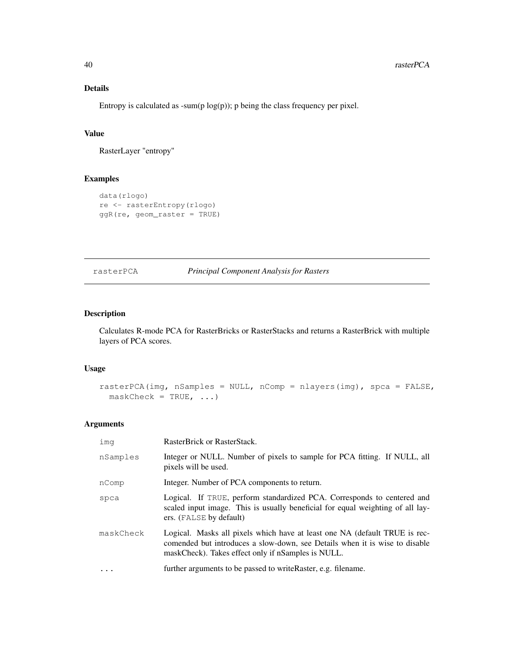# Details

Entropy is calculated as -sum( $p \log(p)$ ); p being the class frequency per pixel.

## Value

RasterLayer "entropy"

# Examples

```
data(rlogo)
re <- rasterEntropy(rlogo)
ggR(re, geom_raster = TRUE)
```
rasterPCA *Principal Component Analysis for Rasters*

# Description

Calculates R-mode PCA for RasterBricks or RasterStacks and returns a RasterBrick with multiple layers of PCA scores.

# Usage

```
rasterPCA(img, nSamples = NULL, nComp = nlayers(img), spca = FALSE,
 maskCheck = TRUE, ...)
```

| imq       | RasterBrick or RasterStack.                                                                                                                                                                                     |
|-----------|-----------------------------------------------------------------------------------------------------------------------------------------------------------------------------------------------------------------|
| nSamples  | Integer or NULL. Number of pixels to sample for PCA fitting. If NULL, all<br>pixels will be used.                                                                                                               |
| nComp     | Integer. Number of PCA components to return.                                                                                                                                                                    |
| spca      | Logical. If TRUE, perform standardized PCA. Corresponds to centered and<br>scaled input image. This is usually beneficial for equal weighting of all lay-<br>ers. (FALSE by default)                            |
| maskCheck | Logical. Masks all pixels which have at least one NA (default TRUE is rec-<br>comended but introduces a slow-down, see Details when it is wise to disable<br>maskCheck). Takes effect only if nSamples is NULL. |
| $\ddots$  | further arguments to be passed to write Raster, e.g. filename.                                                                                                                                                  |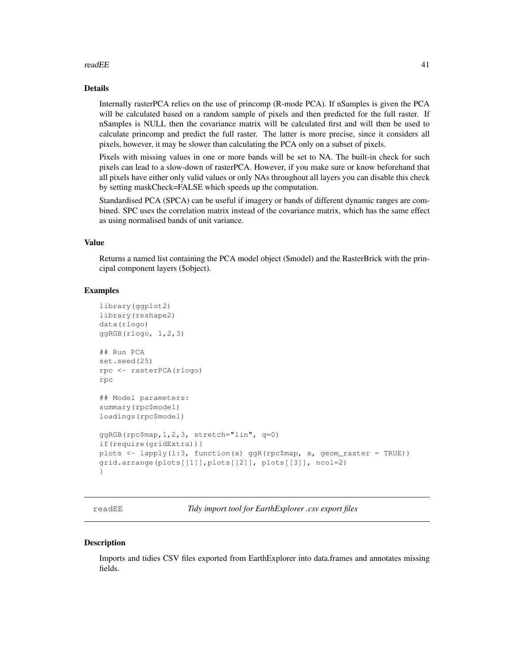#### readEE 41

## Details

Internally rasterPCA relies on the use of princomp (R-mode PCA). If nSamples is given the PCA will be calculated based on a random sample of pixels and then predicted for the full raster. If nSamples is NULL then the covariance matrix will be calculated first and will then be used to calculate princomp and predict the full raster. The latter is more precise, since it considers all pixels, however, it may be slower than calculating the PCA only on a subset of pixels.

Pixels with missing values in one or more bands will be set to NA. The built-in check for such pixels can lead to a slow-down of rasterPCA. However, if you make sure or know beforehand that all pixels have either only valid values or only NAs throughout all layers you can disable this check by setting maskCheck=FALSE which speeds up the computation.

Standardised PCA (SPCA) can be useful if imagery or bands of different dynamic ranges are combined. SPC uses the correlation matrix instead of the covariance matrix, which has the same effect as using normalised bands of unit variance.

#### Value

Returns a named list containing the PCA model object (\$model) and the RasterBrick with the principal component layers (\$object).

# **Examples**

```
library(ggplot2)
library(reshape2)
data(rlogo)
ggRGB(rlogo, 1,2,3)
## Run PCA
set.seed(25)
rpc <- rasterPCA(rlogo)
rpc
## Model parameters:
summary(rpc$model)
loadings(rpc$model)
ggRGB(rpc$map,1,2,3, stretch="lin", q=0)
if(require(gridExtra)){
plots <- lapply(1:3, function(x) ggR(rpc$map, x, geom_raster = TRUE))
grid.arrange(plots[[1]],plots[[2]], plots[[3]], ncol=2)
}
```
readEE *Tidy import tool for EarthExplorer .csv export files*

#### **Description**

Imports and tidies CSV files exported from EarthExplorer into data.frames and annotates missing fields.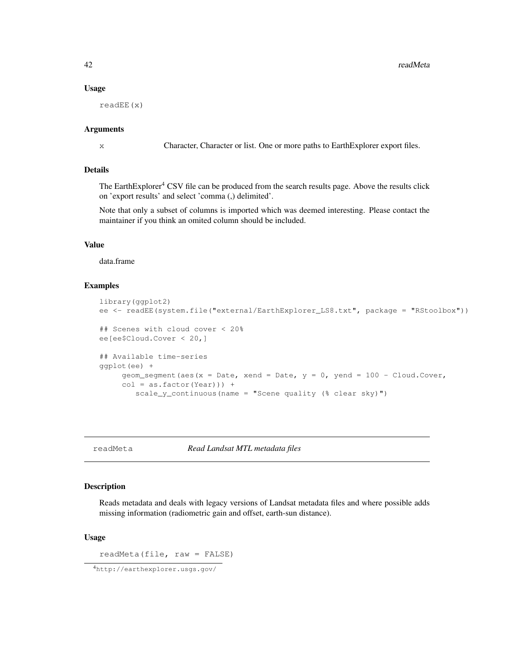#### Usage

readEE(x)

# Arguments

x Character, Character or list. One or more paths to EarthExplorer export files.

## Details

The EarthExplorer<sup>4</sup> CSV file can be produced from the search results page. Above the results click on 'export results' and select 'comma (,) delimited'.

Note that only a subset of columns is imported which was deemed interesting. Please contact the maintainer if you think an omited column should be included.

# Value

data.frame

# Examples

```
library(ggplot2)
ee <- readEE(system.file("external/EarthExplorer_LS8.txt", package = "RStoolbox"))
## Scenes with cloud cover < 20%
ee[ee$Cloud.Cover < 20,]
## Available time-series
ggplot(ee) +
    geom_segment(aes(x = Date, xend = Date, y = 0, yend = 100 - Cloud.Cover,
    col = as.factor(Year)) +scale_y_continuous(name = "Scene quality (% clear sky)")
```
readMeta *Read Landsat MTL metadata files*

## Description

Reads metadata and deals with legacy versions of Landsat metadata files and where possible adds missing information (radiometric gain and offset, earth-sun distance).

#### Usage

readMeta(file, raw = FALSE)

<sup>4</sup>http://earthexplorer.usgs.gov/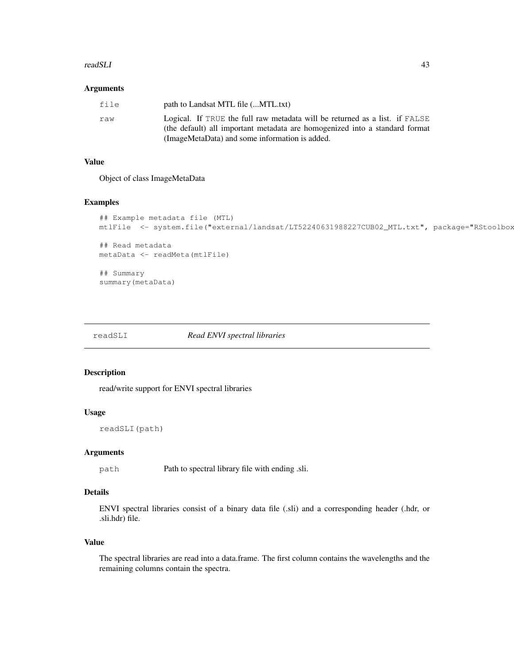#### readSLI 43

#### Arguments

| file | path to Landsat MTL file (MTL.txt)                                                                                                                                                                           |
|------|--------------------------------------------------------------------------------------------------------------------------------------------------------------------------------------------------------------|
| raw  | Logical. If TRUE the full raw metadata will be returned as a list. if FALSE<br>(the default) all important metadata are homogenized into a standard format<br>(ImageMetaData) and some information is added. |

# Value

Object of class ImageMetaData

## Examples

```
## Example metadata file (MTL)
mtlFile <- system.file("external/landsat/LT52240631988227CUB02_MTL.txt", package="RStoolbox
## Read metadata
metaData <- readMeta(mtlFile)
## Summary
summary(metaData)
```
readSLI *Read ENVI spectral libraries*

## Description

read/write support for ENVI spectral libraries

## Usage

```
readSLI(path)
```
## Arguments

path Path to spectral library file with ending .sli.

## Details

ENVI spectral libraries consist of a binary data file (.sli) and a corresponding header (.hdr, or .sli.hdr) file.

# Value

The spectral libraries are read into a data.frame. The first column contains the wavelengths and the remaining columns contain the spectra.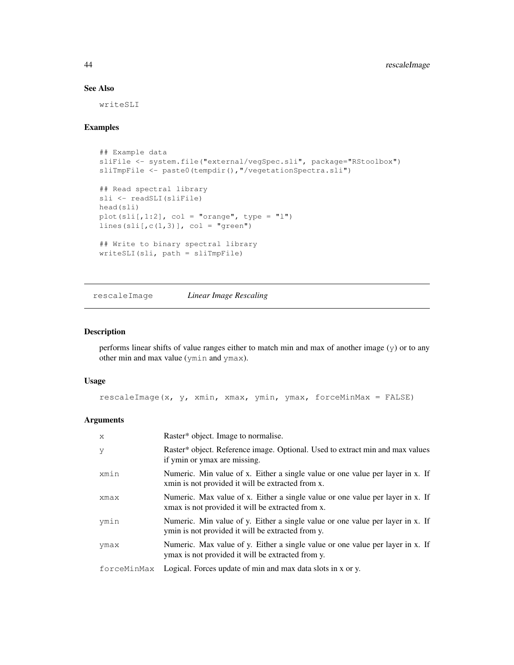# See Also

writeSLI

# Examples

```
## Example data
sliFile <- system.file("external/vegSpec.sli", package="RStoolbox")
sliTmpFile <- paste0(tempdir(), "/vegetationSpectra.sli")
## Read spectral library
sli <- readSLI(sliFile)
head(sli)
plot(sli[, 1:2], col = "orange", type = "l")
lines(sli[,c(1,3)], col = "green")## Write to binary spectral library
writeSLI(sli, path = sliTmpFile)
```
rescaleImage *Linear Image Rescaling*

## Description

performs linear shifts of value ranges either to match min and max of another image (y) or to any other min and max value (ymin and ymax).

#### Usage

rescaleImage(x, y, xmin, xmax, ymin, ymax, forceMinMax = FALSE)

| $\mathsf{x}$ | Raster* object. Image to normalise.                                                                                                 |
|--------------|-------------------------------------------------------------------------------------------------------------------------------------|
| V            | Raster* object. Reference image. Optional. Used to extract min and max values<br>if ymin or ymax are missing.                       |
| xmin         | Numeric. Min value of x. Either a single value or one value per layer in x. If<br>xmin is not provided it will be extracted from x. |
| xmax         | Numeric. Max value of x. Either a single value or one value per layer in x. If<br>xmax is not provided it will be extracted from x. |
| ymin         | Numeric. Min value of y. Either a single value or one value per layer in x. If<br>ymin is not provided it will be extracted from y. |
| ymax         | Numeric. Max value of y. Either a single value or one value per layer in x. If<br>ymax is not provided it will be extracted from y. |
| forceMinMax  | Logical. Forces update of min and max data slots in x or y.                                                                         |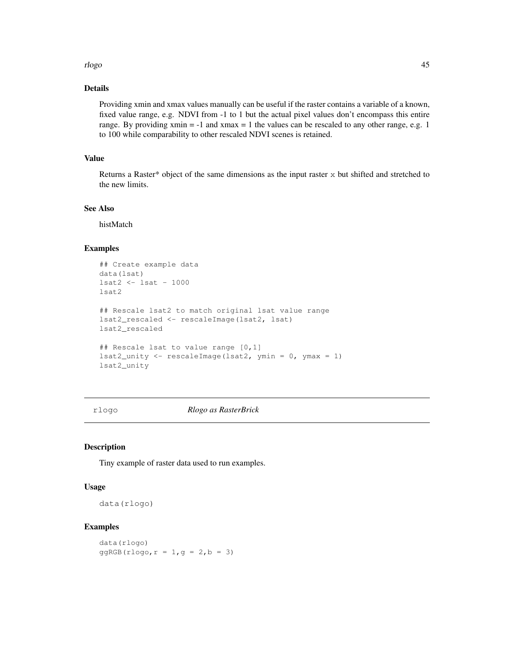#### rlogo 45

# Details

Providing xmin and xmax values manually can be useful if the raster contains a variable of a known, fixed value range, e.g. NDVI from -1 to 1 but the actual pixel values don't encompass this entire range. By providing  $xmin = -1$  and  $xmax = 1$  the values can be rescaled to any other range, e.g. 1 to 100 while comparability to other rescaled NDVI scenes is retained.

## Value

Returns a Raster\* object of the same dimensions as the input raster  $x$  but shifted and stretched to the new limits.

## See Also

histMatch

# Examples

```
## Create example data
data(lsat)
lsat2 <- lsat - 1000
lsat2
## Rescale lsat2 to match original lsat value range
lsat2_rescaled <- rescaleImage(lsat2, lsat)
lsat2_rescaled
## Rescale lsat to value range [0,1]
lsat2_unity <- rescaleImage(lsat2, ymin = 0, ymax = 1)
lsat2_unity
```
rlogo *Rlogo as RasterBrick*

## Description

Tiny example of raster data used to run examples.

## Usage

data(rlogo)

## Examples

data(rlogo)  $ggRGB(rlogo, r = 1, g = 2, b = 3)$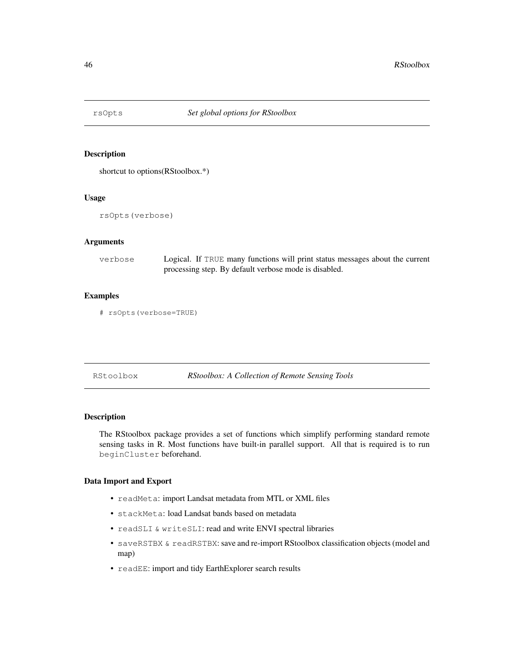shortcut to options(RStoolbox.\*)

## Usage

rsOpts(verbose)

# Arguments

| verbose | Logical. If TRUE many functions will print status messages about the current |
|---------|------------------------------------------------------------------------------|
|         | processing step. By default verbose mode is disabled.                        |

# Examples

```
# rsOpts(verbose=TRUE)
```
RStoolbox *RStoolbox: A Collection of Remote Sensing Tools*

## Description

The RStoolbox package provides a set of functions which simplify performing standard remote sensing tasks in R. Most functions have built-in parallel support. All that is required is to run beginCluster beforehand.

# Data Import and Export

- readMeta: import Landsat metadata from MTL or XML files
- stackMeta: load Landsat bands based on metadata
- readSLI & writeSLI: read and write ENVI spectral libraries
- saveRSTBX & readRSTBX: save and re-import RStoolbox classification objects (model and map)
- readEE: import and tidy EarthExplorer search results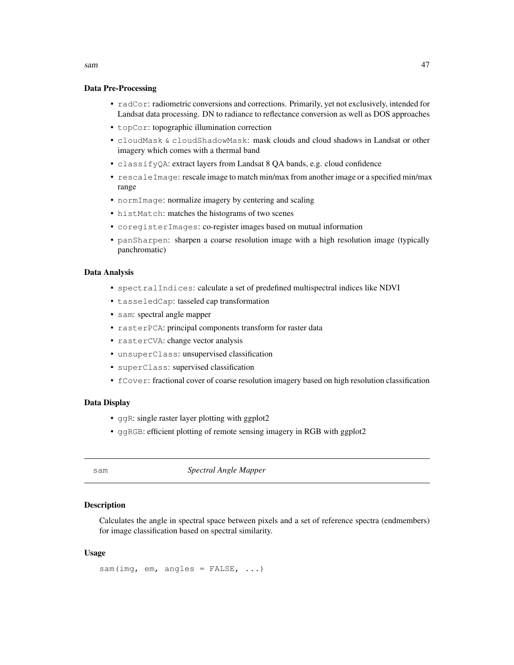## Data Pre-Processing

- radCor: radiometric conversions and corrections. Primarily, yet not exclusively, intended for Landsat data processing. DN to radiance to reflectance conversion as well as DOS approaches
- topCor: topographic illumination correction
- cloudMask & cloudShadowMask: mask clouds and cloud shadows in Landsat or other imagery which comes with a thermal band
- classifyQA: extract layers from Landsat 8 QA bands, e.g. cloud confidence
- rescaleImage: rescale image to match min/max from another image or a specified min/max range
- normImage: normalize imagery by centering and scaling
- histMatch: matches the histograms of two scenes
- coregisterImages: co-register images based on mutual information
- panSharpen: sharpen a coarse resolution image with a high resolution image (typically panchromatic)

# Data Analysis

- spectralIndices: calculate a set of predefined multispectral indices like NDVI
- tasseledCap: tasseled cap transformation
- sam: spectral angle mapper
- rasterPCA: principal components transform for raster data
- rasterCVA: change vector analysis
- unsuperClass: unsupervised classification
- superClass: supervised classification
- fCover: fractional cover of coarse resolution imagery based on high resolution classification

#### Data Display

- ggR: single raster layer plotting with ggplot2
- ggRGB: efficient plotting of remote sensing imagery in RGB with ggplot2

sam *Spectral Angle Mapper*

#### **Description**

Calculates the angle in spectral space between pixels and a set of reference spectra (endmembers) for image classification based on spectral similarity.

## Usage

sam(img, em, angles =  $FALSE, ...$ )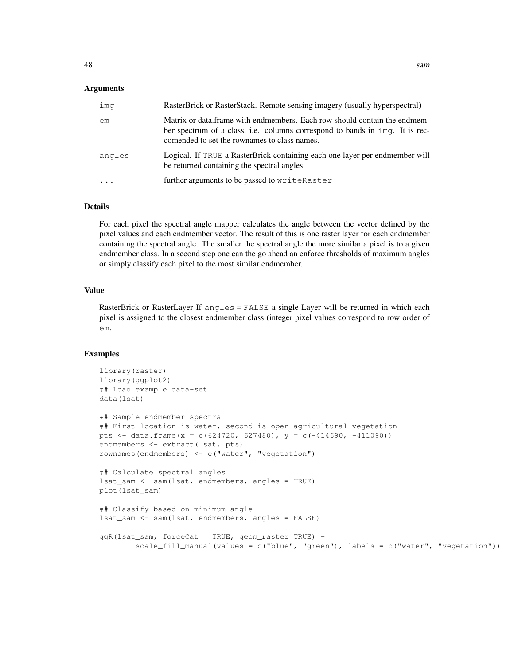## Arguments

| imq    | RasterBrick or RasterStack. Remote sensing imagery (usually hyperspectral)                                                                                                                                |
|--------|-----------------------------------------------------------------------------------------------------------------------------------------------------------------------------------------------------------|
| em     | Matrix or data.frame with endmembers. Each row should contain the endmem-<br>ber spectrum of a class, i.e. columns correspond to bands in imq. It is rec-<br>comended to set the rownames to class names. |
| angles | Logical. If TRUE a RasterBrick containing each one layer per endmember will<br>be returned containing the spectral angles.                                                                                |
|        | further arguments to be passed to writeRaster                                                                                                                                                             |

## Details

For each pixel the spectral angle mapper calculates the angle between the vector defined by the pixel values and each endmember vector. The result of this is one raster layer for each endmember containing the spectral angle. The smaller the spectral angle the more similar a pixel is to a given endmember class. In a second step one can the go ahead an enforce thresholds of maximum angles or simply classify each pixel to the most similar endmember.

## Value

RasterBrick or RasterLayer If angles = FALSE a single Layer will be returned in which each pixel is assigned to the closest endmember class (integer pixel values correspond to row order of em.

```
library(raster)
library(ggplot2)
## Load example data-set
data(lsat)
## Sample endmember spectra
## First location is water, second is open agricultural vegetation
pts <- data.frame(x = c(624720, 627480), y = c(-414690, -411090))
endmembers <- extract(lsat, pts)
rownames(endmembers) <- c("water", "vegetation")
## Calculate spectral angles
lsat_sam <- sam(lsat, endmembers, angles = TRUE)
plot(lsat_sam)
## Classify based on minimum angle
lsat_sam <- sam(lsat, endmembers, angles = FALSE)
ggR(lsat_sam, forceCat = TRUE, geom_raster=TRUE) +
        scale_fill_manual(values = c("blue", "green"), labels = c("water", "vegetation"))
```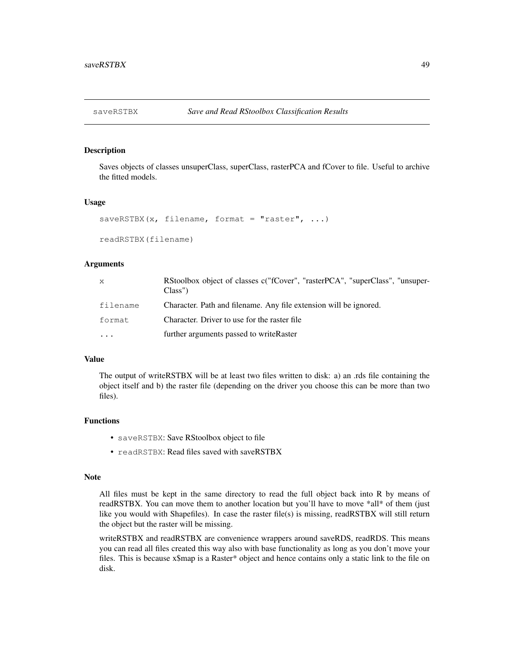Saves objects of classes unsuperClass, superClass, rasterPCA and fCover to file. Useful to archive the fitted models.

#### Usage

```
saveRSTBX(x, filename, format = "raster", \ldots)
```
readRSTBX(filename)

# **Arguments**

| $\mathsf{x}$ | RStoolbox object of classes c("fCover", "rasterPCA", "superClass", "unsuper-<br>Class' |
|--------------|----------------------------------------------------------------------------------------|
| filename     | Character. Path and filename. Any file extension will be ignored.                      |
| format       | Character. Driver to use for the raster file                                           |
| $\ddotsc$    | further arguments passed to writeRaster                                                |

## Value

The output of writeRSTBX will be at least two files written to disk: a) an .rds file containing the object itself and b) the raster file (depending on the driver you choose this can be more than two files).

#### Functions

- saveRSTBX: Save RStoolbox object to file
- readRSTBX: Read files saved with saveRSTBX

#### Note

All files must be kept in the same directory to read the full object back into R by means of readRSTBX. You can move them to another location but you'll have to move \*all\* of them (just like you would with Shapefiles). In case the raster file(s) is missing, readRSTBX will still return the object but the raster will be missing.

writeRSTBX and readRSTBX are convenience wrappers around saveRDS, readRDS. This means you can read all files created this way also with base functionality as long as you don't move your files. This is because x\$map is a Raster\* object and hence contains only a static link to the file on disk.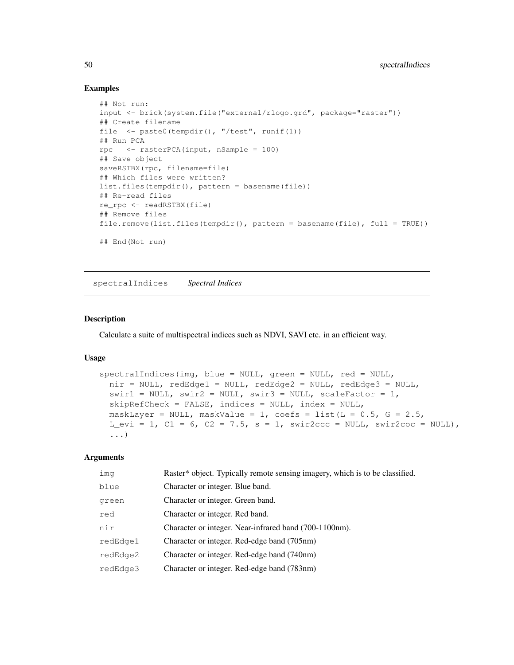## Examples

```
## Not run:
input <- brick(system.file("external/rlogo.grd", package="raster"))
## Create filename
file <- paste0(tempdir(), "/test", runif(1))
## Run PCA
rpc \leq rasterPCA(input, nSample = 100)
## Save object
saveRSTBX(rpc, filename=file)
## Which files were written?
list.files(tempdir(), pattern = basename(file))
## Re-read files
re_rpc <- readRSTBX(file)
## Remove files
file.remove(list.files(tempdir(), pattern = basename(file), full = TRUE))
## End(Not run)
```
spectralIndices *Spectral Indices*

## Description

Calculate a suite of multispectral indices such as NDVI, SAVI etc. in an efficient way.

#### Usage

```
spectralIndices(img, blue = NULL, green = NULL, red = NULL,
 nir = NULL, redEdge1 = NULL, redEdge2 = NULL, redEdge3 = NULL,
  swin1 = NULL, swir2 = NULL, swir3 = NULL, scalefactor = 1,skipRefCheck = FALSE, indices = NULL, index = NULL,
 maskLayer = NULL, maskValue = 1, coefs = list(L = 0.5, G = 2.5,
 L_evi = 1, C1 = 6, C2 = 7.5, s = 1, swir2ccc = NULL, swir2coc = NULL),
  ...)
```

| ima      | Raster* object. Typically remote sensing imagery, which is to be classified. |
|----------|------------------------------------------------------------------------------|
| blue     | Character or integer. Blue band.                                             |
| green    | Character or integer. Green band.                                            |
| red      | Character or integer. Red band.                                              |
| nir      | Character or integer. Near-infrared band (700-1100nm).                       |
| redEdge1 | Character or integer. Red-edge band (705nm)                                  |
| redEdge2 | Character or integer. Red-edge band (740nm)                                  |
| redEdge3 | Character or integer. Red-edge band (783nm)                                  |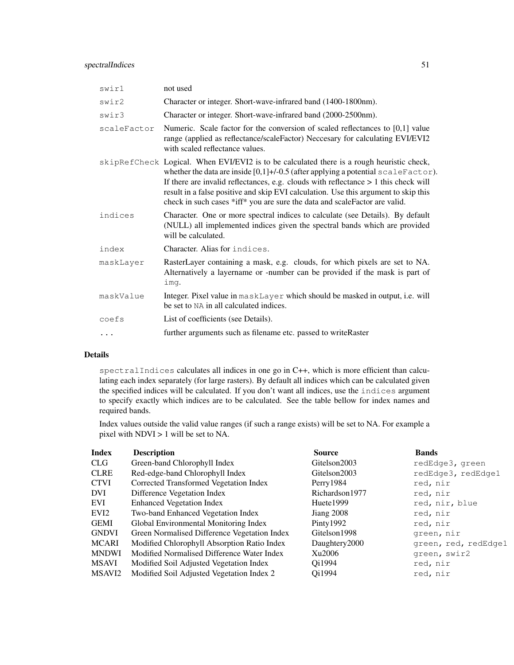# spectralIndices 51

| swir1       | not used                                                                                                                                                                                                                                                                                                                                                                                                                                        |
|-------------|-------------------------------------------------------------------------------------------------------------------------------------------------------------------------------------------------------------------------------------------------------------------------------------------------------------------------------------------------------------------------------------------------------------------------------------------------|
| swir2       | Character or integer. Short-wave-infrared band (1400-1800nm).                                                                                                                                                                                                                                                                                                                                                                                   |
| swir3       | Character or integer. Short-wave-infrared band (2000-2500nm).                                                                                                                                                                                                                                                                                                                                                                                   |
| scaleFactor | Numeric. Scale factor for the conversion of scaled reflectances to [0,1] value<br>range (applied as reflectance/scaleFactor) Neccesary for calculating EVI/EVI2<br>with scaled reflectance values.                                                                                                                                                                                                                                              |
|             | skipRefCheck Logical. When EVI/EVI2 is to be calculated there is a rough heuristic check,<br>whether the data are inside $[0,1]+$ /-0.5 (after applying a potential scaleFactor).<br>If there are invalid reflectances, e.g. clouds with reflectance $> 1$ this check will<br>result in a false positive and skip EVI calculation. Use this argument to skip this<br>check in such cases *iff* you are sure the data and scaleFactor are valid. |
| indices     | Character. One or more spectral indices to calculate (see Details). By default<br>(NULL) all implemented indices given the spectral bands which are provided<br>will be calculated.                                                                                                                                                                                                                                                             |
| index       | Character. Alias for indices.                                                                                                                                                                                                                                                                                                                                                                                                                   |
| maskLayer   | RasterLayer containing a mask, e.g. clouds, for which pixels are set to NA.<br>Alternatively a layername or -number can be provided if the mask is part of<br>imq.                                                                                                                                                                                                                                                                              |
| maskValue   | Integer. Pixel value in maskLayer which should be masked in output, i.e. will<br>be set to NA in all calculated indices.                                                                                                                                                                                                                                                                                                                        |
| coefs       | List of coefficients (see Details).                                                                                                                                                                                                                                                                                                                                                                                                             |
| $\cdots$    | further arguments such as filename etc. passed to writeRaster                                                                                                                                                                                                                                                                                                                                                                                   |
|             |                                                                                                                                                                                                                                                                                                                                                                                                                                                 |

# Details

spectralIndices calculates all indices in one go in C++, which is more efficient than calculating each index separately (for large rasters). By default all indices which can be calculated given the specified indices will be calculated. If you don't want all indices, use the indices argument to specify exactly which indices are to be calculated. See the table bellow for index names and required bands.

Index values outside the valid value ranges (if such a range exists) will be set to NA. For example a pixel with NDVI > 1 will be set to NA.

| redEdge3, green<br>redEdge3, redEdge1 |
|---------------------------------------|
|                                       |
|                                       |
|                                       |
|                                       |
|                                       |
|                                       |
|                                       |
|                                       |
| green, red, redEdge1                  |
|                                       |
|                                       |
|                                       |
| red, nir, blue                        |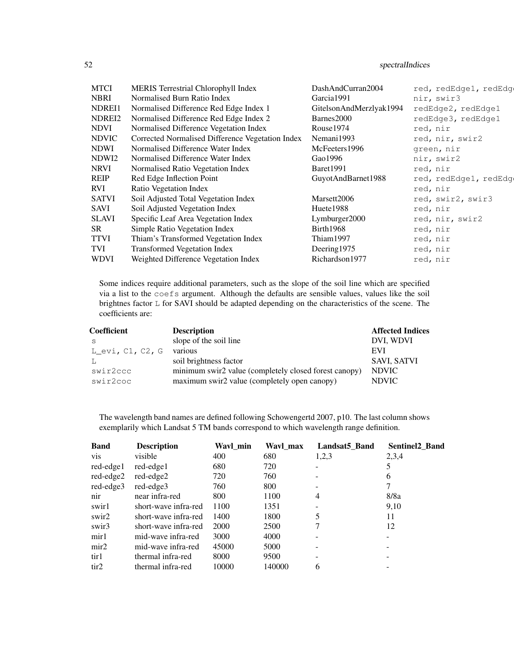# 52 spectralIndices

| <b>MTCI</b>  | MERIS Terrestrial Chlorophyll Index              | DashAndCurran2004       | red, redEdge1, redEdg |
|--------------|--------------------------------------------------|-------------------------|-----------------------|
| <b>NBRI</b>  | Normalised Burn Ratio Index                      | Garcia1991              | nir, swir3            |
| NDREI1       | Normalised Difference Red Edge Index 1           | GitelsonAndMerzlyak1994 | redEdge2, redEdge1    |
| NDREI2       | Normalised Difference Red Edge Index 2           | Barnes2000              | redEdge3, redEdge1    |
| <b>NDVI</b>  | Normalised Difference Vegetation Index           | Rouse1974               | red, nir              |
| <b>NDVIC</b> | Corrected Normalised Difference Vegetation Index | Nemani1993              | red, nir, swir2       |
| <b>NDWI</b>  | Normalised Difference Water Index                | McFeeters1996           | green, nir            |
| NDWI2        | Normalised Difference Water Index                | Gao1996                 | nir, swir2            |
| <b>NRVI</b>  | Normalised Ratio Vegetation Index                | Baret1991               | red, nir              |
| <b>REIP</b>  | Red Edge Inflection Point                        | GuyotAndBarnet1988      | red, redEdge1, redEdg |
| <b>RVI</b>   | Ratio Vegetation Index                           |                         | red, nir              |
| <b>SATVI</b> | Soil Adjusted Total Vegetation Index             | Marsett2006             | red, swir2, swir3     |
| SAVI         | Soil Adjusted Vegetation Index                   | Huete <sub>1988</sub>   | red, nir              |
| SLAVI        | Specific Leaf Area Vegetation Index              | Lymburger2000           | red, nir, swir2       |
| <b>SR</b>    | Simple Ratio Vegetation Index                    | Birth1968               | red, nir              |
| <b>TTVI</b>  | Thiam's Transformed Vegetation Index             | Thiam1997               | red, nir              |
| TVI          | <b>Transformed Vegetation Index</b>              | Deering1975             | red, nir              |
| <b>WDVI</b>  | Weighted Difference Vegetation Index             | Richardson1977          | red, nir              |

Some indices require additional parameters, such as the slope of the soil line which are specified via a list to the coefs argument. Although the defaults are sensible values, values like the soil brightnes factor L for SAVI should be adapted depending on the characteristics of the scene. The coefficients are:

| <b>Coefficient</b> | <b>Description</b>                                    | <b>Affected Indices</b> |
|--------------------|-------------------------------------------------------|-------------------------|
| - S                | slope of the soil line                                | DVI. WDVI               |
| $L$ evi, C1, C2, G | various                                               | EVI                     |
| -L                 | soil brightness factor                                | SAVI, SATVI             |
| swir2ccc           | minimum swir2 value (completely closed forest canopy) | <b>NDVIC</b>            |
| swir2coc           | maximum swir2 value (completely open canopy)          | NDVIC                   |

The wavelength band names are defined following Schowengertd 2007, p10. The last column shows exemplarily which Landsat 5 TM bands correspond to which wavelength range definition.

| <b>Band</b>      | <b>Description</b>   | Wavl_min | Wayl max | Landsat5 Band | <b>Sentinel2 Band</b> |
|------------------|----------------------|----------|----------|---------------|-----------------------|
| <b>vis</b>       | visible              | 400      | 680      | 1,2,3         | 2,3,4                 |
| red-edge1        | red-edge1            | 680      | 720      |               | 5                     |
| red-edge2        | red-edge2            | 720      | 760      |               | 6                     |
| red-edge3        | red-edge3            | 760      | 800      |               |                       |
| nir              | near infra-red       | 800      | 1100     | 4             | 8/8a                  |
| swirl            | short-wave infra-red | 1100     | 1351     |               | 9,10                  |
| swir2            | short-wave infra-red | 1400     | 1800     | 5             | 11                    |
| swir3            | short-wave infra-red | 2000     | 2500     | 7             | 12                    |
| mir1             | mid-wave infra-red   | 3000     | 4000     |               |                       |
| $\text{mir2}$    | mid-wave infra-red   | 45000    | 5000     |               |                       |
| tir1             | thermal infra-red    | 8000     | 9500     |               |                       |
| tir <sub>2</sub> | thermal infra-red    | 10000    | 140000   | 6             |                       |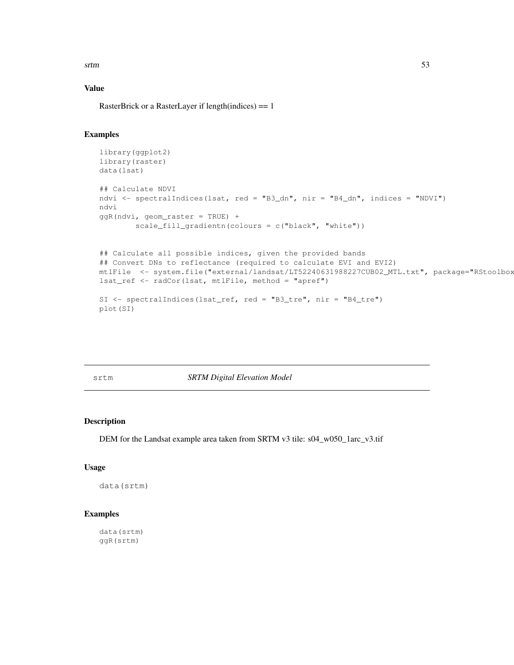srtm 53

# Value

RasterBrick or a RasterLayer if length(indices) == 1

# Examples

```
library(ggplot2)
library(raster)
data(lsat)
## Calculate NDVI
ndvi <- spectralIndices(lsat, red = "B3_dn", nir = "B4_dn", indices = "NDVI")
ndvi
ggR(ndvi, geom_raster = TRUE) +
        scale_fill_gradientn(colours = c("black", "white"))
## Calculate all possible indices, given the provided bands
## Convert DNs to reflectance (required to calculate EVI and EVI2)
mtlFile <- system.file("external/landsat/LT52240631988227CUB02_MTL.txt", package="RStoolbox
lsat_ref <- radCor(lsat, mtlFile, method = "apref")
SI <- spectralIndices(lsat_ref, red = "B3_tre", nir = "B4_tre")
plot(SI)
```
srtm *SRTM Digital Elevation Model*

# Description

DEM for the Landsat example area taken from SRTM v3 tile: s04\_w050\_1arc\_v3.tif

## Usage

data(srtm)

#### Examples

data(srtm) ggR(srtm)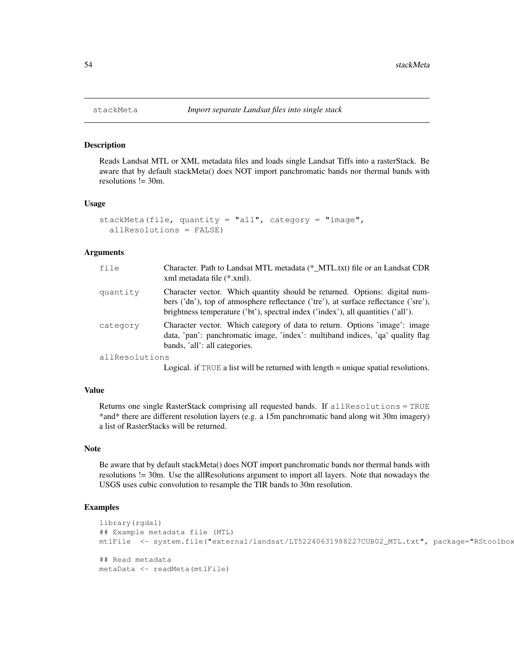Reads Landsat MTL or XML metadata files and loads single Landsat Tiffs into a rasterStack. Be aware that by default stackMeta() does NOT import panchromatic bands nor thermal bands with resolutions != 30m.

#### Usage

```
stackMeta(file, quantity = "all", category = "image",
  allResolutions = FALSE)
```
#### Arguments

| file     | Character. Path to Landsat MTL metadata (* MTL.txt) file or an Landsat CDR<br>xml metadata file (*.xml).                                                                                                                                              |
|----------|-------------------------------------------------------------------------------------------------------------------------------------------------------------------------------------------------------------------------------------------------------|
| quantity | Character vector. Which quantity should be returned. Options: digital num-<br>bers ('dn'), top of atmosphere reflectance ('tre'), at surface reflectance ('sre'),<br>brightness temperature ('bt'), spectral index ('index'), all quantities ('all'). |
| category | Character vector. Which category of data to return. Options 'image': image<br>data, 'pan': panchromatic image, 'index': multiband indices, 'qa' quality flag<br>bands, 'all': all categories.                                                         |
| .        |                                                                                                                                                                                                                                                       |

allResolutions

Logical. if TRUE a list will be returned with length = unique spatial resolutions.

## Value

Returns one single RasterStack comprising all requested bands. If allResolutions = TRUE \*and\* there are different resolution layers (e.g. a 15m panchromatic band along wit 30m imagery) a list of RasterStacks will be returned.

## Note

Be aware that by default stackMeta() does NOT import panchromatic bands nor thermal bands with resolutions != 30m. Use the allResolutions argument to import all layers. Note that nowadays the USGS uses cubic convolution to resample the TIR bands to 30m resolution.

```
library(rgdal)
## Example metadata file (MTL)
mtlFile <- system.file("external/landsat/LT52240631988227CUB02_MTL.txt", package="RStoolbox
## Read metadata
metaData <- readMeta(mtlFile)
```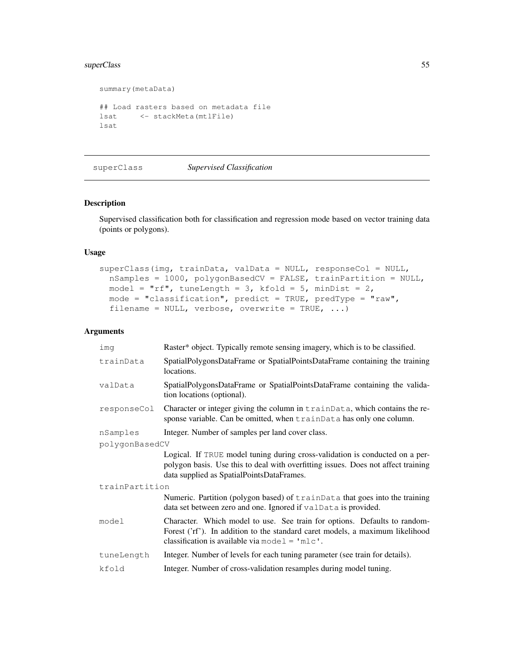# superClass 55

```
summary(metaData)
## Load rasters based on metadata file
lsat <- stackMeta(mtlFile)
lsat
```

```
superClass Supervised Classification
```
# Description

Supervised classification both for classification and regression mode based on vector training data (points or polygons).

## Usage

```
superClass(img, trainData, valData = NULL, responseCol = NULL,
 nSamples = 1000, polygonBasedCV = FALSE, trainPartition = NULL,
 model = "rf", tuneLength = 3, kfold = 5, minDist = 2,
 mode = "classification", predict = TRUE, predType = "raw",
  filename = NULL, verbose, overwrite = TRUE, ...)
```

| ima            | Raster* object. Typically remote sensing imagery, which is to be classified.                                                                                                                                   |  |
|----------------|----------------------------------------------------------------------------------------------------------------------------------------------------------------------------------------------------------------|--|
| trainData      | SpatialPolygonsDataFrame or SpatialPointsDataFrame containing the training<br>locations.                                                                                                                       |  |
| valData        | SpatialPolygonsDataFrame or SpatialPointsDataFrame containing the valida-<br>tion locations (optional).                                                                                                        |  |
| responseCol    | Character or integer giving the column in trainData, which contains the re-<br>sponse variable. Can be omitted, when trainData has only one column.                                                            |  |
| nSamples       | Integer. Number of samples per land cover class.                                                                                                                                                               |  |
| polygonBasedCV |                                                                                                                                                                                                                |  |
|                | Logical. If TRUE model tuning during cross-validation is conducted on a per-<br>polygon basis. Use this to deal with overfitting issues. Does not affect training<br>data supplied as SpatialPointsDataFrames. |  |
| trainPartition |                                                                                                                                                                                                                |  |
|                | Numeric. Partition (polygon based) of trainData that goes into the training<br>data set between zero and one. Ignored if valData is provided.                                                                  |  |
| model          | Character. Which model to use. See train for options. Defaults to random-<br>Forest ('rf'). In addition to the standard caret models, a maximum likelihood<br>classification is available via model = $'mlc'.$ |  |
| tuneLength     | Integer. Number of levels for each tuning parameter (see train for details).                                                                                                                                   |  |
| kfold          | Integer. Number of cross-validation resamples during model tuning.                                                                                                                                             |  |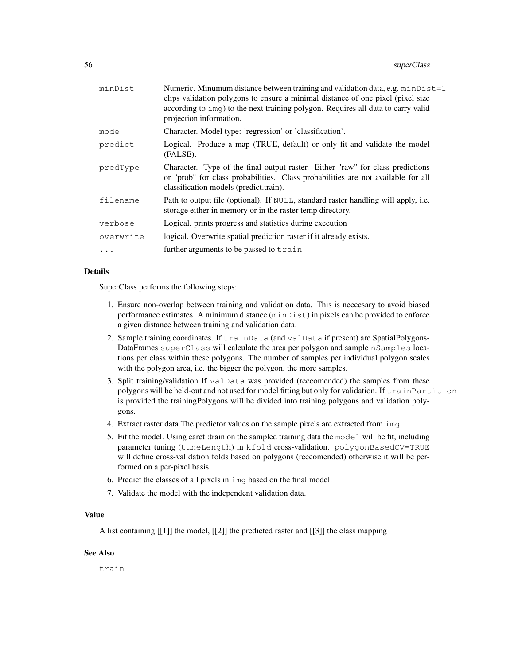| minDist   | Numeric. Minumum distance between training and validation data, e.g. $minDist=1$<br>clips validation polygons to ensure a minimal distance of one pixel (pixel size<br>according to img) to the next training polygon. Requires all data to carry valid<br>projection information. |
|-----------|------------------------------------------------------------------------------------------------------------------------------------------------------------------------------------------------------------------------------------------------------------------------------------|
| mode      | Character. Model type: 'regression' or 'classification'.                                                                                                                                                                                                                           |
| predict   | Logical. Produce a map (TRUE, default) or only fit and validate the model<br>(FALSE).                                                                                                                                                                                              |
| predType  | Character. Type of the final output raster. Either "raw" for class predictions<br>or "prob" for class probabilities. Class probabilities are not available for all<br>classification models (predict.train).                                                                       |
| filename  | Path to output file (optional). If NULL, standard raster handling will apply, i.e.<br>storage either in memory or in the raster temp directory.                                                                                                                                    |
| verbose   | Logical. prints progress and statistics during execution                                                                                                                                                                                                                           |
| overwrite | logical. Overwrite spatial prediction raster if it already exists.                                                                                                                                                                                                                 |
|           | further arguments to be passed to train                                                                                                                                                                                                                                            |
|           |                                                                                                                                                                                                                                                                                    |

## Details

SuperClass performs the following steps:

- 1. Ensure non-overlap between training and validation data. This is neccesary to avoid biased performance estimates. A minimum distance (minDist) in pixels can be provided to enforce a given distance between training and validation data.
- 2. Sample training coordinates. If  $\text{trainData}$  (and valData if present) are SpatialPolygons-DataFrames superClass will calculate the area per polygon and sample nSamples locations per class within these polygons. The number of samples per individual polygon scales with the polygon area, i.e. the bigger the polygon, the more samples.
- 3. Split training/validation If valData was provided (reccomended) the samples from these polygons will be held-out and not used for model fitting but only for validation. If trainPartition is provided the trainingPolygons will be divided into training polygons and validation polygons.
- 4. Extract raster data The predictor values on the sample pixels are extracted from img
- 5. Fit the model. Using caret::train on the sampled training data the model will be fit, including parameter tuning (tuneLength) in kfold cross-validation. polygonBasedCV=TRUE will define cross-validation folds based on polygons (reccomended) otherwise it will be performed on a per-pixel basis.
- 6. Predict the classes of all pixels in img based on the final model.
- 7. Validate the model with the independent validation data.

# Value

A list containing [[1]] the model, [[2]] the predicted raster and [[3]] the class mapping

## See Also

train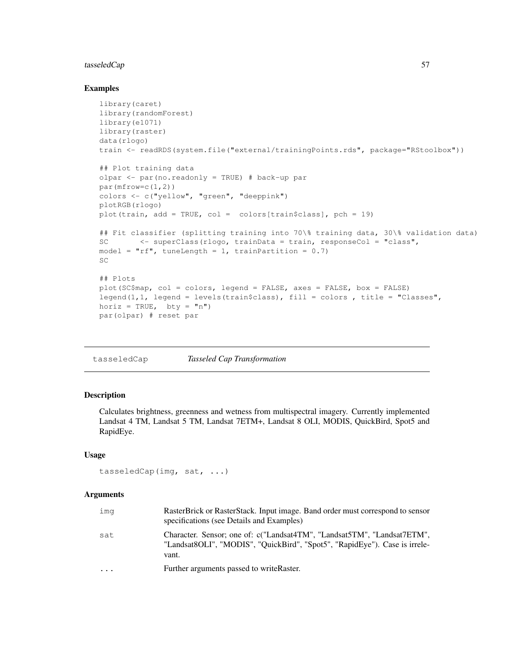# tasseledCap 57

### Examples

```
library(caret)
library(randomForest)
library(e1071)
library(raster)
data(rlogo)
train <- readRDS(system.file("external/trainingPoints.rds", package="RStoolbox"))
## Plot training data
olpar <- par(no.readonly = TRUE) # back-up par
par(mfrow=c(1,2))colors <- c("yellow", "green", "deeppink")
plotRGB(rlogo)
plot(train, add = TRUE, col = colors[train$class], pch = 19)
## Fit classifier (splitting training into 70\% training data, 30\% validation data)
SC <- superClass(rlogo, trainData = train, responseCol = "class",
model = "rf", tuneLength = 1, trainPartition = 0.7)
SC
## Plots
plot(SC$map, col = colors, legend = FALSE, axes = FALSE, box = FALSE)
legend(1,1, legend = levels(train$class), fill = colors , title = "Classes",
horiz = TRUE, \quad bty = "n"par(olpar) # reset par
```

```
tasseledCap Tasseled Cap Transformation
```
# Description

Calculates brightness, greenness and wetness from multispectral imagery. Currently implemented Landsat 4 TM, Landsat 5 TM, Landsat 7ETM+, Landsat 8 OLI, MODIS, QuickBird, Spot5 and RapidEye.

## Usage

```
tasseledCap(img, sat, ...)
```

|                                                                                                                                                                       | RasterBrick or RasterStack. Input image. Band order must correspond to sensor |
|-----------------------------------------------------------------------------------------------------------------------------------------------------------------------|-------------------------------------------------------------------------------|
| Character. Sensor; one of: c("Landsat4TM", "Landsat5TM", "Landsat7ETM",<br>sat<br>"Landsat8OLI", "MODIS", "OuickBird", "Spot5", "RapidEye"). Case is irrele-<br>vant. |                                                                               |
| Further arguments passed to write Raster.<br>$\cdot$ $\cdot$ $\cdot$                                                                                                  |                                                                               |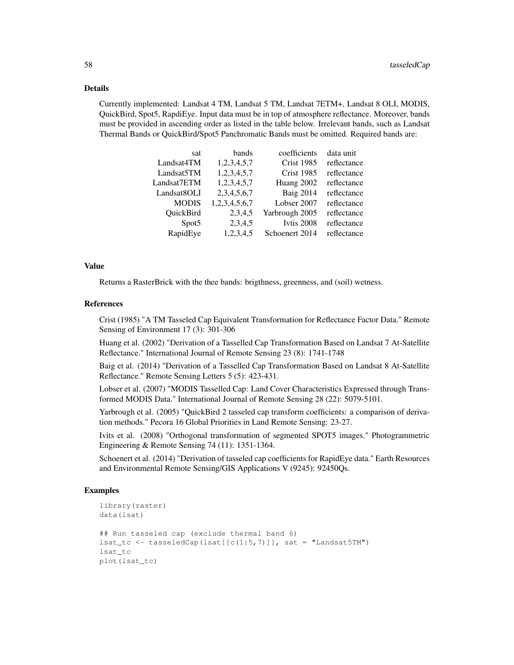#### Details

Currently implemented: Landsat 4 TM, Landsat 5 TM, Landsat 7ETM+, Landsat 8 OLI, MODIS, QuickBird, Spot5, RapdiEye. Input data must be in top of atmosphere reflectance. Moreover, bands must be provided in ascending order as listed in the table below. Irrelevant bands, such as Landsat Thermal Bands or QuickBird/Spot5 Panchromatic Bands must be omitted. Required bands are:

| bands         | coefficients      | data unit   |
|---------------|-------------------|-------------|
| 1,2,3,4,5,7   | <b>Crist 1985</b> | reflectance |
| 1,2,3,4,5,7   | <b>Crist 1985</b> | reflectance |
| 1,2,3,4,5,7   | Huang 2002        | reflectance |
| 2,3,4,5,6,7   | <b>Baig 2014</b>  | reflectance |
| 1,2,3,4,5,6,7 | Lobser 2007       | reflectance |
| 2,3,4,5       | Yarbrough 2005    | reflectance |
| 2,3,4,5       | Ivtis 2008        | reflectance |
| 1,2,3,4,5     | Schoenert 2014    | reflectance |
|               |                   |             |

## Value

Returns a RasterBrick with the thee bands: brigthness, greenness, and (soil) wetness.

# References

Crist (1985) "A TM Tasseled Cap Equivalent Transformation for Reflectance Factor Data." Remote Sensing of Environment 17 (3): 301-306

Huang et al. (2002) "Derivation of a Tasselled Cap Transformation Based on Landsat 7 At-Satellite Reflectance." International Journal of Remote Sensing 23 (8): 1741-1748

Baig et al. (2014) "Derivation of a Tasselled Cap Transformation Based on Landsat 8 At-Satellite Reflectance." Remote Sensing Letters 5 (5): 423-431.

Lobser et al. (2007) "MODIS Tasselled Cap: Land Cover Characteristics Expressed through Transformed MODIS Data." International Journal of Remote Sensing 28 (22): 5079-5101.

Yarbrough et al. (2005) "QuickBird 2 tasseled cap transform coefficients: a comparison of derivation methods." Pecora 16 Global Priorities in Land Remote Sensing: 23-27.

Ivits et al. (2008) "Orthogonal transformation of segmented SPOT5 images." Photogrammetric Engineering & Remote Sensing 74 (11): 1351-1364.

Schoenert et al. (2014) "Derivation of tasseled cap coefficients for RapidEye data." Earth Resources and Environmental Remote Sensing/GIS Applications V (9245): 92450Qs.

```
library(raster)
data(lsat)
## Run tasseled cap (exclude thermal band 6)
last_to \le -\t{tasesledCap(\text{lsat}[(c(1:5,7))]}, \text{sat = "Landsat5TM")}lsat_tc
plot(lsat_tc)
```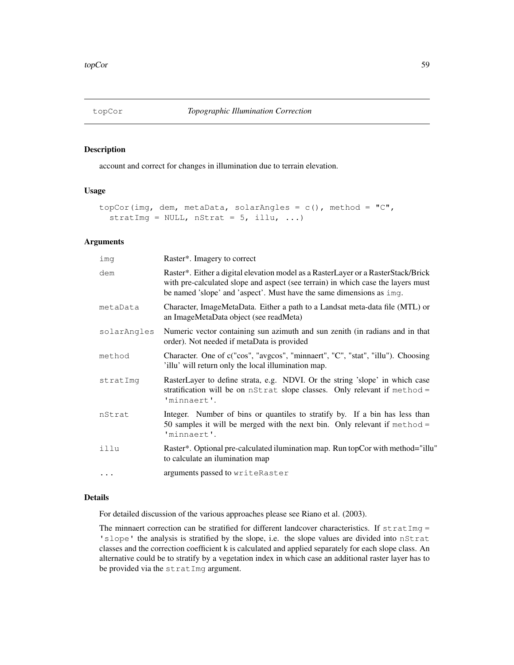account and correct for changes in illumination due to terrain elevation.

## Usage

```
topCor(img, dem, metaData, solarAngles = c(), method = "C",
  stratImg = NULL, nStrat = 5, illu, ...)
```
#### Arguments

| imq         | Raster*. Imagery to correct                                                                                                                                                                                                                   |
|-------------|-----------------------------------------------------------------------------------------------------------------------------------------------------------------------------------------------------------------------------------------------|
| dem         | Raster*. Either a digital elevation model as a RasterLayer or a RasterStack/Brick<br>with pre-calculated slope and aspect (see terrain) in which case the layers must<br>be named 'slope' and 'aspect'. Must have the same dimensions as imq. |
| metaData    | Character, ImageMetaData. Either a path to a Landsat meta-data file (MTL) or<br>an ImageMetaData object (see readMeta)                                                                                                                        |
| solarAngles | Numeric vector containing sun azimuth and sun zenith (in radians and in that<br>order). Not needed if metaData is provided                                                                                                                    |
| method      | Character. One of c("cos", "avgcos", "minnaert", "C", "stat", "illu"). Choosing<br>'illu' will return only the local illumination map.                                                                                                        |
| stratImq    | RasterLayer to define strata, e.g. NDVI. Or the string 'slope' in which case<br>stratification will be on nStrat slope classes. Only relevant if method =<br>'minnaert'.                                                                      |
| nStrat      | Integer. Number of bins or quantiles to stratify by. If a bin has less than<br>50 samples it will be merged with the next bin. Only relevant if method =<br>'minnaert'.                                                                       |
| illu        | Raster*. Optional pre-calculated ilumination map. Run topCor with method="illu"<br>to calculate an ilumination map                                                                                                                            |
| $\cdots$    | arguments passed to writeRaster                                                                                                                                                                                                               |

# Details

For detailed discussion of the various approaches please see Riano et al. (2003).

The minnaert correction can be stratified for different landcover characteristics. If  $stratImq =$ 'slope' the analysis is stratified by the slope, i.e. the slope values are divided into nStrat classes and the correction coefficient k is calculated and applied separately for each slope class. An alternative could be to stratify by a vegetation index in which case an additional raster layer has to be provided via the stratImg argument.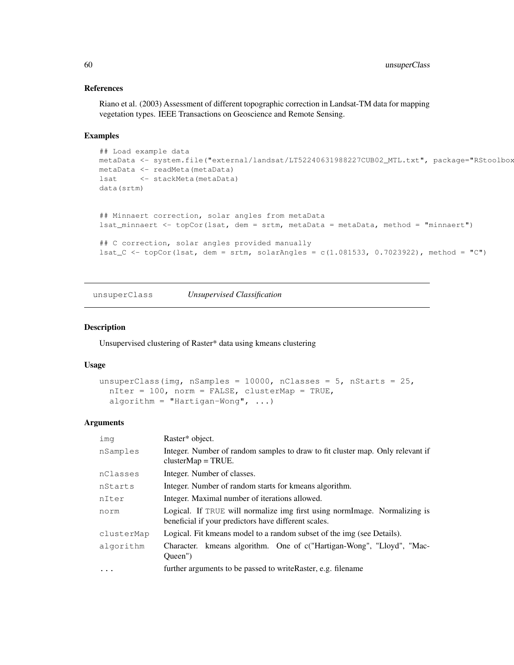# References

Riano et al. (2003) Assessment of different topographic correction in Landsat-TM data for mapping vegetation types. IEEE Transactions on Geoscience and Remote Sensing.

## Examples

```
## Load example data
metaData <- system.file("external/landsat/LT52240631988227CUB02_MTL.txt", package="RStoolbox
metaData <- readMeta(metaData)
lsat <- stackMeta(metaData)
data(srtm)
## Minnaert correction, solar angles from metaData
lsat_minnaert <- topCor(lsat, dem = srtm, metaData = metaData, method = "minnaert")
## C correction, solar angles provided manually
lsat_C <- topCor(lsat, dem = srtm, solarAngles = c(1.081533, 0.7023922), method = "C")
```
unsuperClass *Unsupervised Classification*

## Description

Unsupervised clustering of Raster\* data using kmeans clustering

#### Usage

```
unsuperClass(img, nSamples = 10000, nClasses = 5, nStarts = 25,
  nIter = 100, norm = FALSE, clusterMap = TRUE,
  algorithm = "Hartigan-Wong", \ldots)
```

| ima        | Raster* object.                                                                                                                   |
|------------|-----------------------------------------------------------------------------------------------------------------------------------|
| nSamples   | Integer. Number of random samples to draw to fit cluster map. Only relevant if<br>$clusterMap = TRUE$ .                           |
| nClasses   | Integer. Number of classes.                                                                                                       |
| nStarts    | Integer. Number of random starts for kmeans algorithm.                                                                            |
| nIter      | Integer. Maximal number of iterations allowed.                                                                                    |
| norm       | Logical. If TRUE will normalize img first using normImage. Normalizing is<br>beneficial if your predictors have different scales. |
| clusterMap | Logical. Fit kmeans model to a random subset of the img (see Details).                                                            |
| algorithm  | Character. kmeans algorithm. One of c("Hartigan-Wong", "Lloyd", "Mac-<br>Oueen")                                                  |
| $\ddotsc$  | further arguments to be passed to write Raster, e.g. filename                                                                     |
|            |                                                                                                                                   |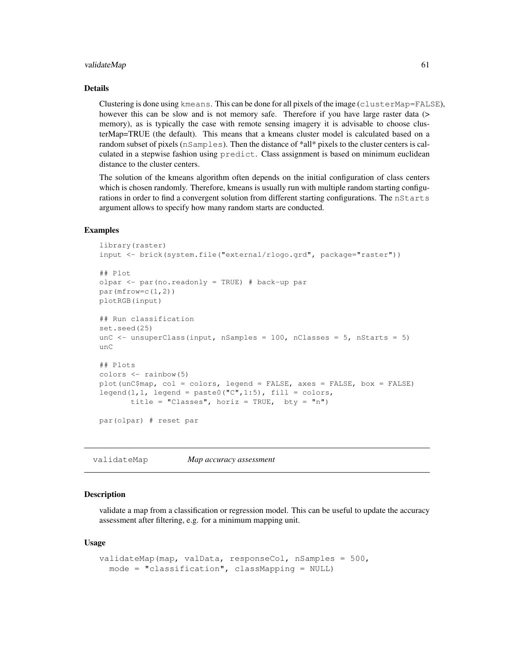#### validateMap 61

#### Details

Clustering is done using kmeans. This can be done for all pixels of the image (clusterMap=FALSE), however this can be slow and is not memory safe. Therefore if you have large raster data (> memory), as is typically the case with remote sensing imagery it is advisable to choose clusterMap=TRUE (the default). This means that a kmeans cluster model is calculated based on a random subset of pixels (nSamples). Then the distance of \*all\* pixels to the cluster centers is calculated in a stepwise fashion using predict. Class assignment is based on minimum euclidean distance to the cluster centers.

The solution of the kmeans algorithm often depends on the initial configuration of class centers which is chosen randomly. Therefore, kmeans is usually run with multiple random starting configurations in order to find a convergent solution from different starting configurations. The nStarts argument allows to specify how many random starts are conducted.

#### Examples

```
library(raster)
input <- brick(system.file("external/rlogo.grd", package="raster"))
## Plot
olpar <- par(no.readonly = TRUE) # back-up par
par(mfrow=c(1,2))plotRGB(input)
## Run classification
set.seed(25)
unC \le - unsuperClass(input, nSamples = 100, nClasses = 5, nStarts = 5)
11nC## Plots
colors <- rainbow(5)
plot(unC$map, col = colors, legend = FALSE, axes = FALSE, box = FALSE)
legend(1,1, legend = paste0("C", 1:5), fill = colors,
       title = "Classes", horiz = TRUE, bty = "n")par(olpar) # reset par
```
validateMap *Map accuracy assessment*

## Description

validate a map from a classification or regression model. This can be useful to update the accuracy assessment after filtering, e.g. for a minimum mapping unit.

#### Usage

```
validateMap(map, valData, responseCol, nSamples = 500,
 mode = "classification", classMapping = NULL)
```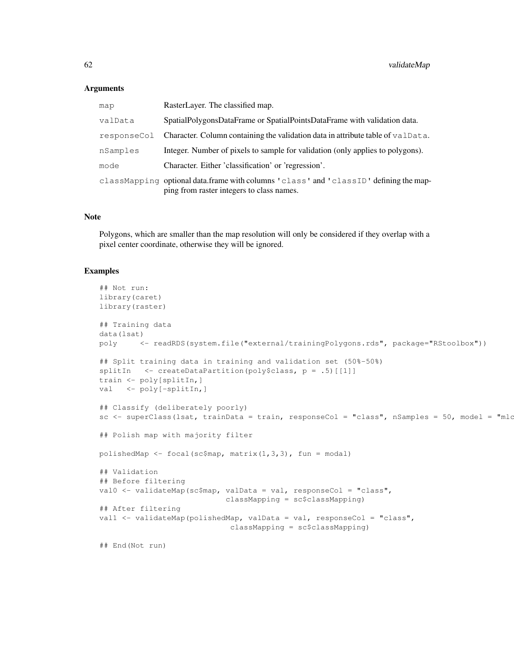## **Arguments**

| map         | RasterLayer. The classified map.                                                                                                   |
|-------------|------------------------------------------------------------------------------------------------------------------------------------|
| valData     | SpatialPolygonsDataFrame or SpatialPointsDataFrame with validation data.                                                           |
| responseCol | Character. Column containing the validation data in attribute table of vallet a.                                                   |
| nSamples    | Integer. Number of pixels to sample for validation (only applies to polygons).                                                     |
| mode        | Character. Either 'classification' or 'regression'.                                                                                |
|             | classMapping optional data.frame with columns 'class' and 'classID' defining the map-<br>ping from raster integers to class names. |

## Note

Polygons, which are smaller than the map resolution will only be considered if they overlap with a pixel center coordinate, otherwise they will be ignored.

```
## Not run:
library(caret)
library(raster)
## Training data
data(lsat)
poly <- readRDS(system.file("external/trainingPolygons.rds", package="RStoolbox"))
## Split training data in training and validation set (50%-50%)
splitIn \leq createDataPartition(poly$class, p = .5) [[1]]
train <- poly[splitIn,]
val <- poly[-splitIn,]
## Classify (deliberately poorly)
sc <- superClass(lsat, trainData = train, responseCol = "class", nSamples = 50, model = "mlo
## Polish map with majority filter
polishedMap \leq focal(sc$map, matrix(1,3,3), fun = modal)
## Validation
## Before filtering
val0 <- validateMap(sc$map, valData = val, responseCol = "class",
                            classMapping = sc$classMapping)
## After filtering
val1 <- validateMap(polishedMap, valData = val, responseCol = "class",
                             classMapping = sc$classMapping)
## End(Not run)
```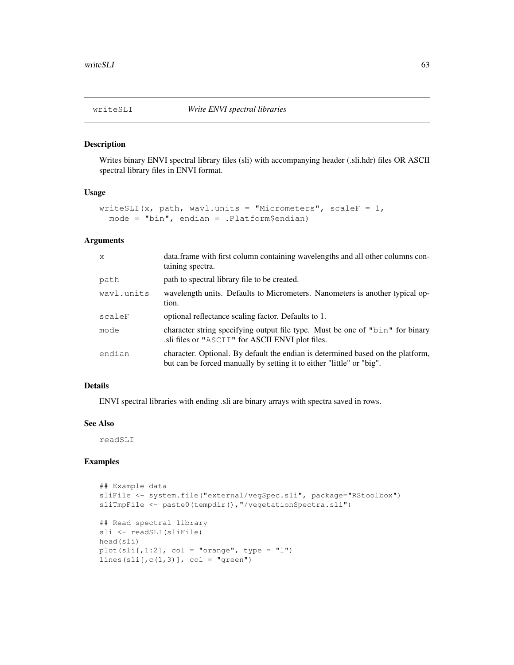Writes binary ENVI spectral library files (sli) with accompanying header (.sli.hdr) files OR ASCII spectral library files in ENVI format.

## Usage

```
writeSLI(x, path, wavl.units = "Micrometers", scaleF = 1,
 mode = "bin", endian = .Platform$endian)
```
# Arguments

| $\mathsf{x}$ | data.frame with first column containing wavelengths and all other columns con-<br>taining spectra.                                                       |
|--------------|----------------------------------------------------------------------------------------------------------------------------------------------------------|
| path         | path to spectral library file to be created.                                                                                                             |
| wavl.units   | wavelength units. Defaults to Micrometers. Nanometers is another typical op-<br>tion.                                                                    |
| scaleF       | optional reflectance scaling factor. Defaults to 1.                                                                                                      |
| mode         | character string specifying output file type. Must be one of "bin" for binary<br>sli files or "ASCII" for ASCII ENVI plot files.                         |
| endian       | character. Optional. By default the endian is determined based on the platform,<br>but can be forced manually by setting it to either "little" or "big". |

## Details

ENVI spectral libraries with ending .sli are binary arrays with spectra saved in rows.

#### See Also

readSLI

```
## Example data
sliFile <- system.file("external/vegSpec.sli", package="RStoolbox")
sliTmpFile <- paste0(tempdir(), "/vegetationSpectra.sli")
## Read spectral library
sli <- readSLI(sliFile)
head(sli)
plot(sli[,1:2], col = "orange", type = "l")
lines(sli[,c(1,3)], col = "green")
```